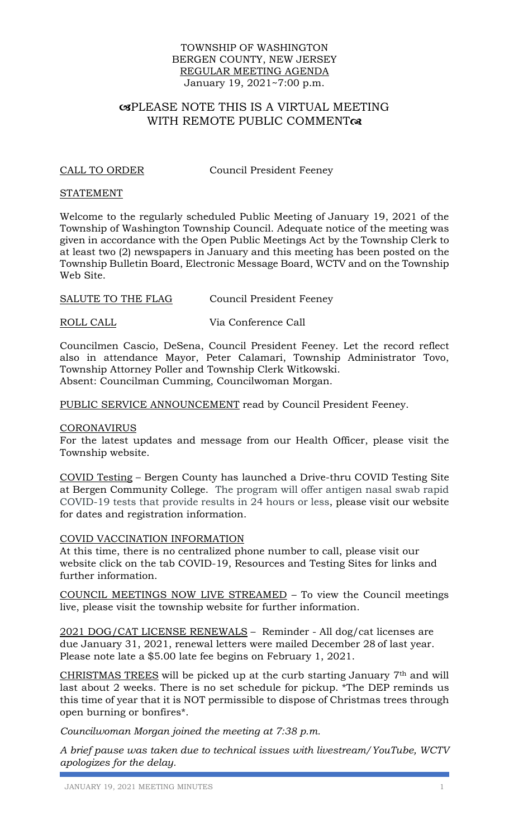### TOWNSHIP OF WASHINGTON BERGEN COUNTY, NEW JERSEY REGULAR MEETING AGENDA January 19, 2021~7:00 p.m.

# PLEASE NOTE THIS IS A VIRTUAL MEETING WITH REMOTE PUBLIC COMMENTOR

CALL TO ORDER Council President Feeney

### STATEMENT

Welcome to the regularly scheduled Public Meeting of January 19, 2021 of the Township of Washington Township Council. Adequate notice of the meeting was given in accordance with the Open Public Meetings Act by the Township Clerk to at least two (2) newspapers in January and this meeting has been posted on the Township Bulletin Board, Electronic Message Board, WCTV and on the Township Web Site.

SALUTE TO THE FLAG Council President Feeney

ROLL CALL Via Conference Call

Councilmen Cascio, DeSena, Council President Feeney. Let the record reflect also in attendance Mayor, Peter Calamari, Township Administrator Tovo, Township Attorney Poller and Township Clerk Witkowski. Absent: Councilman Cumming, Councilwoman Morgan.

PUBLIC SERVICE ANNOUNCEMENT read by Council President Feeney.

### CORONAVIRUS

For the latest updates and message from our Health Officer, please visit the Township website.

COVID Testing – Bergen County has launched a Drive-thru COVID Testing Site at Bergen Community College. The program will offer antigen nasal swab rapid COVID-19 tests that provide results in 24 hours or less, please visit our website for dates and registration information.

### COVID VACCINATION INFORMATION

At this time, there is no centralized phone number to call, please visit our website click on the tab COVID-19, Resources and Testing Sites for links and further information.

COUNCIL MEETINGS NOW LIVE STREAMED – To view the Council meetings live, please visit the township website for further information.

2021 DOG/CAT LICENSE RENEWALS – [R](https://www.twpofwashington.us/home/180006394/180006394/Images/2021%20Pet%20License%20Application.pdf)eminder - All dog/cat licenses are due January 31, 2021, renewal letters were mailed December 28 of last year. Please note late a \$5.00 late fee begins on February 1, 2021.

CHRISTMAS TREES will be picked up at the curb starting January 7th and will last about 2 weeks. There is no set schedule for pickup. \*The DEP reminds us this time of year that it is NOT permissible to dispose of Christmas trees through open burning or bonfires\*.

*Councilwoman Morgan joined the meeting at 7:38 p.m.* 

*A brief pause was taken due to technical issues with livestream/YouTube, WCTV apologizes for the delay.*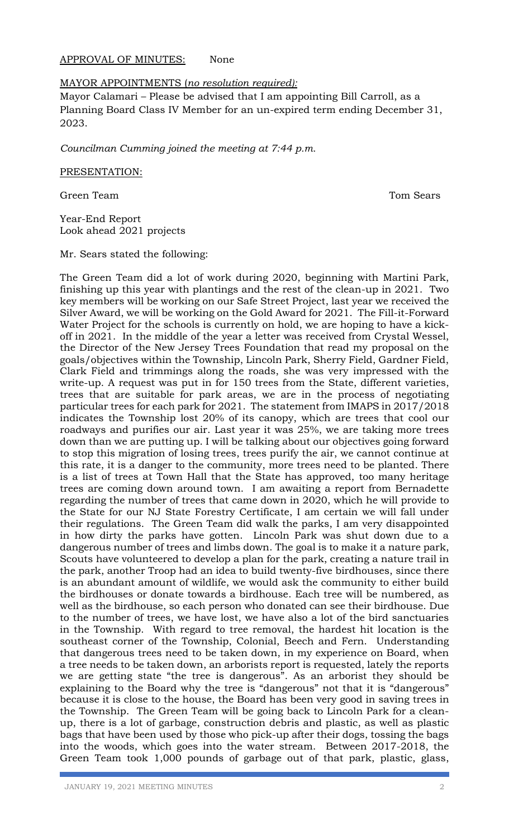## APPROVAL OF MINUTES: None

## MAYOR APPOINTMENTS (*no resolution required):*

Mayor Calamari – Please be advised that I am appointing Bill Carroll, as a Planning Board Class IV Member for an un-expired term ending December 31, 2023.

*Councilman Cumming joined the meeting at 7:44 p.m.* 

### PRESENTATION:

Green Team Tom Sears

Year-End Report Look ahead 2021 projects

Mr. Sears stated the following:

The Green Team did a lot of work during 2020, beginning with Martini Park, finishing up this year with plantings and the rest of the clean-up in 2021. Two key members will be working on our Safe Street Project, last year we received the Silver Award, we will be working on the Gold Award for 2021. The Fill-it-Forward Water Project for the schools is currently on hold, we are hoping to have a kickoff in 2021. In the middle of the year a letter was received from Crystal Wessel, the Director of the New Jersey Trees Foundation that read my proposal on the goals/objectives within the Township, Lincoln Park, Sherry Field, Gardner Field, Clark Field and trimmings along the roads, she was very impressed with the write-up. A request was put in for 150 trees from the State, different varieties, trees that are suitable for park areas, we are in the process of negotiating particular trees for each park for 2021. The statement from IMAPS in 2017/2018 indicates the Township lost 20% of its canopy, which are trees that cool our roadways and purifies our air. Last year it was 25%, we are taking more trees down than we are putting up. I will be talking about our objectives going forward to stop this migration of losing trees, trees purify the air, we cannot continue at this rate, it is a danger to the community, more trees need to be planted. There is a list of trees at Town Hall that the State has approved, too many heritage trees are coming down around town. I am awaiting a report from Bernadette regarding the number of trees that came down in 2020, which he will provide to the State for our NJ State Forestry Certificate, I am certain we will fall under their regulations. The Green Team did walk the parks, I am very disappointed in how dirty the parks have gotten. Lincoln Park was shut down due to a dangerous number of trees and limbs down. The goal is to make it a nature park, Scouts have volunteered to develop a plan for the park, creating a nature trail in the park, another Troop had an idea to build twenty-five birdhouses, since there is an abundant amount of wildlife, we would ask the community to either build the birdhouses or donate towards a birdhouse. Each tree will be numbered, as well as the birdhouse, so each person who donated can see their birdhouse. Due to the number of trees, we have lost, we have also a lot of the bird sanctuaries in the Township. With regard to tree removal, the hardest hit location is the southeast corner of the Township, Colonial, Beech and Fern. Understanding that dangerous trees need to be taken down, in my experience on Board, when a tree needs to be taken down, an arborists report is requested, lately the reports we are getting state "the tree is dangerous". As an arborist they should be explaining to the Board why the tree is "dangerous" not that it is "dangerous" because it is close to the house, the Board has been very good in saving trees in the Township. The Green Team will be going back to Lincoln Park for a cleanup, there is a lot of garbage, construction debris and plastic, as well as plastic bags that have been used by those who pick-up after their dogs, tossing the bags into the woods, which goes into the water stream. Between 2017-2018, the Green Team took 1,000 pounds of garbage out of that park, plastic, glass,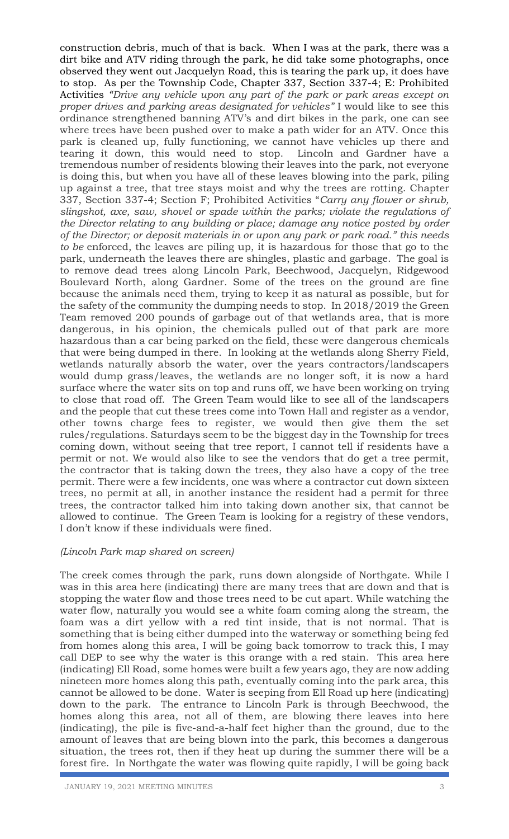construction debris, much of that is back. When I was at the park, there was a dirt bike and ATV riding through the park, he did take some photographs, once observed they went out Jacquelyn Road, this is tearing the park up, it does have to stop. As per the Township Code, Chapter 337, Section 337-4; E: Prohibited Activities *"Drive any vehicle upon any part of the park or park areas except on proper drives and parking areas designated for vehicles"* I would like to see this ordinance strengthened banning ATV's and dirt bikes in the park, one can see where trees have been pushed over to make a path wider for an ATV. Once this park is cleaned up, fully functioning, we cannot have vehicles up there and tearing it down, this would need to stop. Lincoln and Gardner have a tremendous number of residents blowing their leaves into the park, not everyone is doing this, but when you have all of these leaves blowing into the park, piling up against a tree, that tree stays moist and why the trees are rotting. Chapter 337, Section 337-4; Section F; Prohibited Activities "*Carry any flower or shrub, slingshot, axe, saw, shovel or spade within the parks; violate the regulations of the Director relating to any building or place; damage any notice posted by order of the Director; or deposit materials in or upon any park or park road." this needs to be* enforced, the leaves are piling up, it is hazardous for those that go to the park, underneath the leaves there are shingles, plastic and garbage. The goal is to remove dead trees along Lincoln Park, Beechwood, Jacquelyn, Ridgewood Boulevard North, along Gardner. Some of the trees on the ground are fine because the animals need them, trying to keep it as natural as possible, but for the safety of the community the dumping needs to stop. In 2018/2019 the Green Team removed 200 pounds of garbage out of that wetlands area, that is more dangerous, in his opinion, the chemicals pulled out of that park are more hazardous than a car being parked on the field, these were dangerous chemicals that were being dumped in there. In looking at the wetlands along Sherry Field, wetlands naturally absorb the water, over the years contractors/landscapers would dump grass/leaves, the wetlands are no longer soft, it is now a hard surface where the water sits on top and runs off, we have been working on trying to close that road off. The Green Team would like to see all of the landscapers and the people that cut these trees come into Town Hall and register as a vendor, other towns charge fees to register, we would then give them the set rules/regulations. Saturdays seem to be the biggest day in the Township for trees coming down, without seeing that tree report, I cannot tell if residents have a permit or not. We would also like to see the vendors that do get a tree permit, the contractor that is taking down the trees, they also have a copy of the tree permit. There were a few incidents, one was where a contractor cut down sixteen trees, no permit at all, in another instance the resident had a permit for three trees, the contractor talked him into taking down another six, that cannot be allowed to continue. The Green Team is looking for a registry of these vendors, I don't know if these individuals were fined.

## *(Lincoln Park map shared on screen)*

The creek comes through the park, runs down alongside of Northgate. While I was in this area here (indicating) there are many trees that are down and that is stopping the water flow and those trees need to be cut apart. While watching the water flow, naturally you would see a white foam coming along the stream, the foam was a dirt yellow with a red tint inside, that is not normal. That is something that is being either dumped into the waterway or something being fed from homes along this area, I will be going back tomorrow to track this, I may call DEP to see why the water is this orange with a red stain. This area here (indicating) Ell Road, some homes were built a few years ago, they are now adding nineteen more homes along this path, eventually coming into the park area, this cannot be allowed to be done. Water is seeping from Ell Road up here (indicating) down to the park. The entrance to Lincoln Park is through Beechwood, the homes along this area, not all of them, are blowing there leaves into here (indicating), the pile is five-and-a-half feet higher than the ground, due to the amount of leaves that are being blown into the park, this becomes a dangerous situation, the trees rot, then if they heat up during the summer there will be a forest fire. In Northgate the water was flowing quite rapidly, I will be going back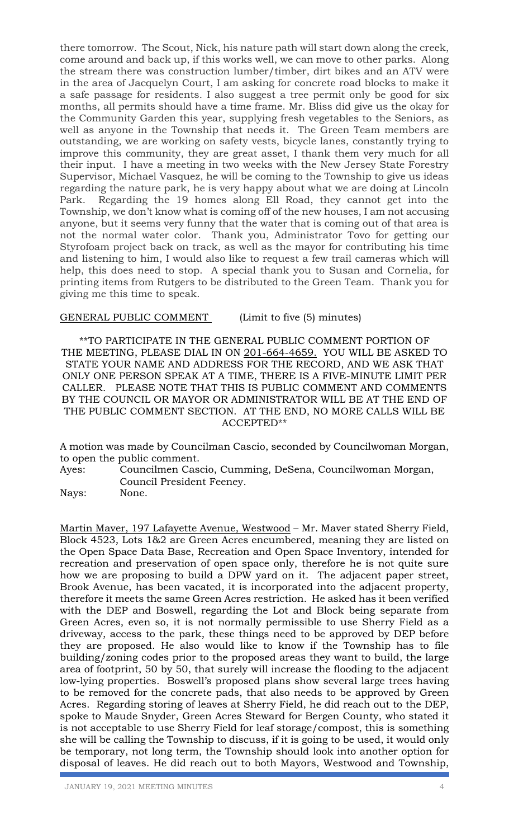there tomorrow. The Scout, Nick, his nature path will start down along the creek, come around and back up, if this works well, we can move to other parks. Along the stream there was construction lumber/timber, dirt bikes and an ATV were in the area of Jacquelyn Court, I am asking for concrete road blocks to make it a safe passage for residents. I also suggest a tree permit only be good for six months, all permits should have a time frame. Mr. Bliss did give us the okay for the Community Garden this year, supplying fresh vegetables to the Seniors, as well as anyone in the Township that needs it. The Green Team members are outstanding, we are working on safety vests, bicycle lanes, constantly trying to improve this community, they are great asset, I thank them very much for all their input. I have a meeting in two weeks with the New Jersey State Forestry Supervisor, Michael Vasquez, he will be coming to the Township to give us ideas regarding the nature park, he is very happy about what we are doing at Lincoln Park. Regarding the 19 homes along Ell Road, they cannot get into the Township, we don't know what is coming off of the new houses, I am not accusing anyone, but it seems very funny that the water that is coming out of that area is not the normal water color. Thank you, Administrator Tovo for getting our Styrofoam project back on track, as well as the mayor for contributing his time and listening to him, I would also like to request a few trail cameras which will help, this does need to stop. A special thank you to Susan and Cornelia, for printing items from Rutgers to be distributed to the Green Team. Thank you for giving me this time to speak.

## GENERAL PUBLIC COMMENT (Limit to five (5) minutes)

\*\*TO PARTICIPATE IN THE GENERAL PUBLIC COMMENT PORTION OF THE MEETING, PLEASE DIAL IN ON 201-664-4659. YOU WILL BE ASKED TO STATE YOUR NAME AND ADDRESS FOR THE RECORD, AND WE ASK THAT ONLY ONE PERSON SPEAK AT A TIME, THERE IS A FIVE-MINUTE LIMIT PER CALLER. PLEASE NOTE THAT THIS IS PUBLIC COMMENT AND COMMENTS BY THE COUNCIL OR MAYOR OR ADMINISTRATOR WILL BE AT THE END OF THE PUBLIC COMMENT SECTION. AT THE END, NO MORE CALLS WILL BE ACCEPTED\*\*

A motion was made by Councilman Cascio, seconded by Councilwoman Morgan, to open the public comment.

Ayes: Councilmen Cascio, Cumming, DeSena, Councilwoman Morgan, Council President Feeney.

Nays: None.

Martin Maver, 197 Lafayette Avenue, Westwood – Mr. Maver stated Sherry Field, Block 4523, Lots 1&2 are Green Acres encumbered, meaning they are listed on the Open Space Data Base, Recreation and Open Space Inventory, intended for recreation and preservation of open space only, therefore he is not quite sure how we are proposing to build a DPW yard on it. The adjacent paper street, Brook Avenue, has been vacated, it is incorporated into the adjacent property, therefore it meets the same Green Acres restriction. He asked has it been verified with the DEP and Boswell, regarding the Lot and Block being separate from Green Acres, even so, it is not normally permissible to use Sherry Field as a driveway, access to the park, these things need to be approved by DEP before they are proposed. He also would like to know if the Township has to file building/zoning codes prior to the proposed areas they want to build, the large area of footprint, 50 by 50, that surely will increase the flooding to the adjacent low-lying properties. Boswell's proposed plans show several large trees having to be removed for the concrete pads, that also needs to be approved by Green Acres. Regarding storing of leaves at Sherry Field, he did reach out to the DEP, spoke to Maude Snyder, Green Acres Steward for Bergen County, who stated it is not acceptable to use Sherry Field for leaf storage/compost, this is something she will be calling the Township to discuss, if it is going to be used, it would only be temporary, not long term, the Township should look into another option for disposal of leaves. He did reach out to both Mayors, Westwood and Township,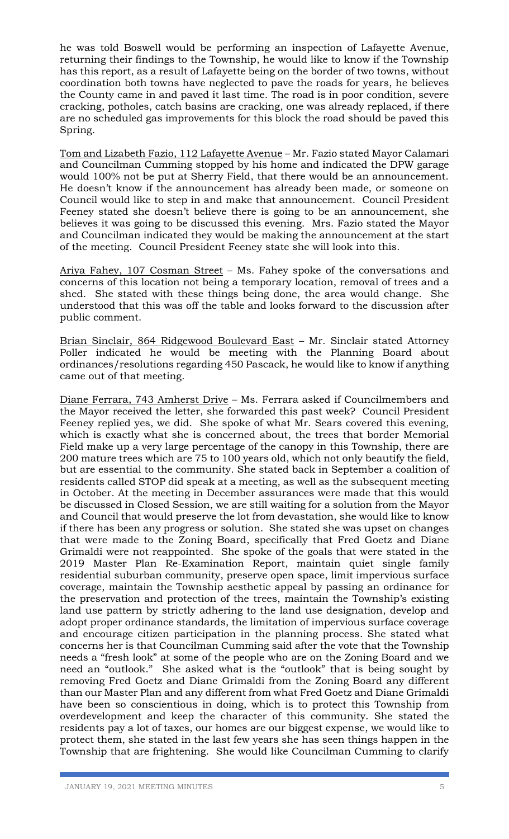he was told Boswell would be performing an inspection of Lafayette Avenue, returning their findings to the Township, he would like to know if the Township has this report, as a result of Lafayette being on the border of two towns, without coordination both towns have neglected to pave the roads for years, he believes the County came in and paved it last time. The road is in poor condition, severe cracking, potholes, catch basins are cracking, one was already replaced, if there are no scheduled gas improvements for this block the road should be paved this Spring.

Tom and Lizabeth Fazio, 112 Lafayette Avenue – Mr. Fazio stated Mayor Calamari and Councilman Cumming stopped by his home and indicated the DPW garage would 100% not be put at Sherry Field, that there would be an announcement. He doesn't know if the announcement has already been made, or someone on Council would like to step in and make that announcement. Council President Feeney stated she doesn't believe there is going to be an announcement, she believes it was going to be discussed this evening. Mrs. Fazio stated the Mayor and Councilman indicated they would be making the announcement at the start of the meeting. Council President Feeney state she will look into this.

Ariya Fahey, 107 Cosman Street – Ms. Fahey spoke of the conversations and concerns of this location not being a temporary location, removal of trees and a shed. She stated with these things being done, the area would change. She understood that this was off the table and looks forward to the discussion after public comment.

Brian Sinclair, 864 Ridgewood Boulevard East – Mr. Sinclair stated Attorney Poller indicated he would be meeting with the Planning Board about ordinances/resolutions regarding 450 Pascack, he would like to know if anything came out of that meeting.

Diane Ferrara, 743 Amherst Drive – Ms. Ferrara asked if Councilmembers and the Mayor received the letter, she forwarded this past week? Council President Feeney replied yes, we did. She spoke of what Mr. Sears covered this evening, which is exactly what she is concerned about, the trees that border Memorial Field make up a very large percentage of the canopy in this Township, there are 200 mature trees which are 75 to 100 years old, which not only beautify the field, but are essential to the community. She stated back in September a coalition of residents called STOP did speak at a meeting, as well as the subsequent meeting in October. At the meeting in December assurances were made that this would be discussed in Closed Session, we are still waiting for a solution from the Mayor and Council that would preserve the lot from devastation, she would like to know if there has been any progress or solution. She stated she was upset on changes that were made to the Zoning Board, specifically that Fred Goetz and Diane Grimaldi were not reappointed. She spoke of the goals that were stated in the 2019 Master Plan Re-Examination Report, maintain quiet single family residential suburban community, preserve open space, limit impervious surface coverage, maintain the Township aesthetic appeal by passing an ordinance for the preservation and protection of the trees, maintain the Township's existing land use pattern by strictly adhering to the land use designation, develop and adopt proper ordinance standards, the limitation of impervious surface coverage and encourage citizen participation in the planning process. She stated what concerns her is that Councilman Cumming said after the vote that the Township needs a "fresh look" at some of the people who are on the Zoning Board and we need an "outlook." She asked what is the "outlook" that is being sought by removing Fred Goetz and Diane Grimaldi from the Zoning Board any different than our Master Plan and any different from what Fred Goetz and Diane Grimaldi have been so conscientious in doing, which is to protect this Township from overdevelopment and keep the character of this community. She stated the residents pay a lot of taxes, our homes are our biggest expense, we would like to protect them, she stated in the last few years she has seen things happen in the Township that are frightening. She would like Councilman Cumming to clarify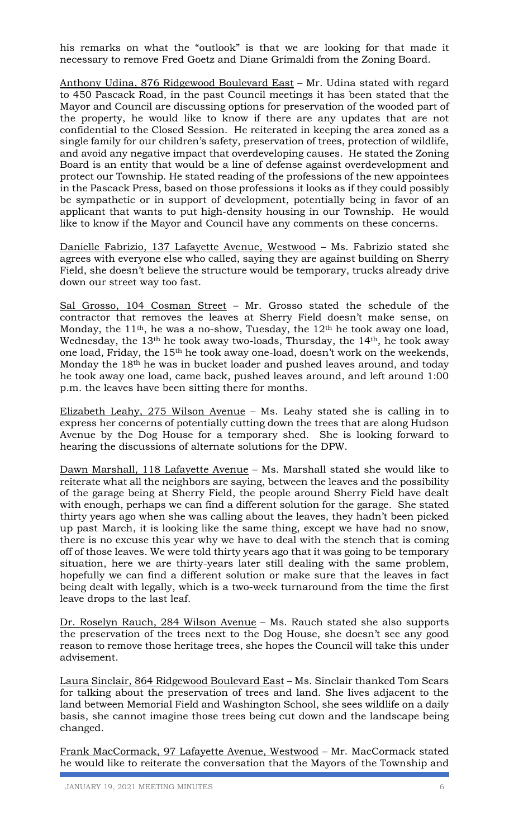his remarks on what the "outlook" is that we are looking for that made it necessary to remove Fred Goetz and Diane Grimaldi from the Zoning Board.

Anthony Udina, 876 Ridgewood Boulevard East – Mr. Udina stated with regard to 450 Pascack Road, in the past Council meetings it has been stated that the Mayor and Council are discussing options for preservation of the wooded part of the property, he would like to know if there are any updates that are not confidential to the Closed Session. He reiterated in keeping the area zoned as a single family for our children's safety, preservation of trees, protection of wildlife, and avoid any negative impact that overdeveloping causes. He stated the Zoning Board is an entity that would be a line of defense against overdevelopment and protect our Township. He stated reading of the professions of the new appointees in the Pascack Press, based on those professions it looks as if they could possibly be sympathetic or in support of development, potentially being in favor of an applicant that wants to put high-density housing in our Township. He would like to know if the Mayor and Council have any comments on these concerns.

Danielle Fabrizio, 137 Lafayette Avenue, Westwood – Ms. Fabrizio stated she agrees with everyone else who called, saying they are against building on Sherry Field, she doesn't believe the structure would be temporary, trucks already drive down our street way too fast.

Sal Grosso, 104 Cosman Street - Mr. Grosso stated the schedule of the contractor that removes the leaves at Sherry Field doesn't make sense, on Monday, the 11th, he was a no-show, Tuesday, the 12th he took away one load, Wednesday, the 13<sup>th</sup> he took away two-loads, Thursday, the 14<sup>th</sup>, he took away one load, Friday, the 15th he took away one-load, doesn't work on the weekends, Monday the 18th he was in bucket loader and pushed leaves around, and today he took away one load, came back, pushed leaves around, and left around 1:00 p.m. the leaves have been sitting there for months.

Elizabeth Leahy, 275 Wilson Avenue – Ms. Leahy stated she is calling in to express her concerns of potentially cutting down the trees that are along Hudson Avenue by the Dog House for a temporary shed. She is looking forward to hearing the discussions of alternate solutions for the DPW.

Dawn Marshall, 118 Lafayette Avenue – Ms. Marshall stated she would like to reiterate what all the neighbors are saying, between the leaves and the possibility of the garage being at Sherry Field, the people around Sherry Field have dealt with enough, perhaps we can find a different solution for the garage. She stated thirty years ago when she was calling about the leaves, they hadn't been picked up past March, it is looking like the same thing, except we have had no snow, there is no excuse this year why we have to deal with the stench that is coming off of those leaves. We were told thirty years ago that it was going to be temporary situation, here we are thirty-years later still dealing with the same problem, hopefully we can find a different solution or make sure that the leaves in fact being dealt with legally, which is a two-week turnaround from the time the first leave drops to the last leaf.

Dr. Roselyn Rauch, 284 Wilson Avenue – Ms. Rauch stated she also supports the preservation of the trees next to the Dog House, she doesn't see any good reason to remove those heritage trees, she hopes the Council will take this under advisement.

Laura Sinclair, 864 Ridgewood Boulevard East – Ms. Sinclair thanked Tom Sears for talking about the preservation of trees and land. She lives adjacent to the land between Memorial Field and Washington School, she sees wildlife on a daily basis, she cannot imagine those trees being cut down and the landscape being changed.

Frank MacCormack, 97 Lafayette Avenue, Westwood – Mr. MacCormack stated he would like to reiterate the conversation that the Mayors of the Township and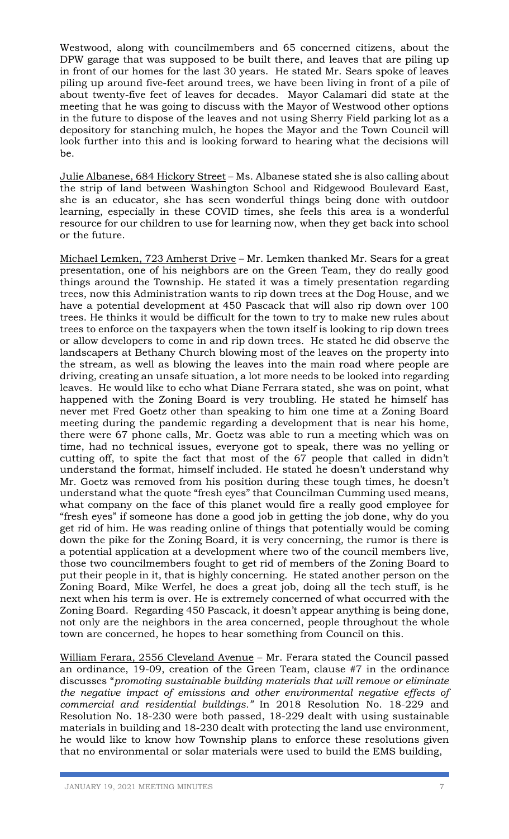Westwood, along with councilmembers and 65 concerned citizens, about the DPW garage that was supposed to be built there, and leaves that are piling up in front of our homes for the last 30 years. He stated Mr. Sears spoke of leaves piling up around five-feet around trees, we have been living in front of a pile of about twenty-five feet of leaves for decades. Mayor Calamari did state at the meeting that he was going to discuss with the Mayor of Westwood other options in the future to dispose of the leaves and not using Sherry Field parking lot as a depository for stanching mulch, he hopes the Mayor and the Town Council will look further into this and is looking forward to hearing what the decisions will be.

Julie Albanese, 684 Hickory Street – Ms. Albanese stated she is also calling about the strip of land between Washington School and Ridgewood Boulevard East, she is an educator, she has seen wonderful things being done with outdoor learning, especially in these COVID times, she feels this area is a wonderful resource for our children to use for learning now, when they get back into school or the future.

Michael Lemken, 723 Amherst Drive – Mr. Lemken thanked Mr. Sears for a great presentation, one of his neighbors are on the Green Team, they do really good things around the Township. He stated it was a timely presentation regarding trees, now this Administration wants to rip down trees at the Dog House, and we have a potential development at 450 Pascack that will also rip down over 100 trees. He thinks it would be difficult for the town to try to make new rules about trees to enforce on the taxpayers when the town itself is looking to rip down trees or allow developers to come in and rip down trees. He stated he did observe the landscapers at Bethany Church blowing most of the leaves on the property into the stream, as well as blowing the leaves into the main road where people are driving, creating an unsafe situation, a lot more needs to be looked into regarding leaves. He would like to echo what Diane Ferrara stated, she was on point, what happened with the Zoning Board is very troubling. He stated he himself has never met Fred Goetz other than speaking to him one time at a Zoning Board meeting during the pandemic regarding a development that is near his home, there were 67 phone calls, Mr. Goetz was able to run a meeting which was on time, had no technical issues, everyone got to speak, there was no yelling or cutting off, to spite the fact that most of the 67 people that called in didn't understand the format, himself included. He stated he doesn't understand why Mr. Goetz was removed from his position during these tough times, he doesn't understand what the quote "fresh eyes" that Councilman Cumming used means, what company on the face of this planet would fire a really good employee for "fresh eyes" if someone has done a good job in getting the job done, why do you get rid of him. He was reading online of things that potentially would be coming down the pike for the Zoning Board, it is very concerning, the rumor is there is a potential application at a development where two of the council members live, those two councilmembers fought to get rid of members of the Zoning Board to put their people in it, that is highly concerning. He stated another person on the Zoning Board, Mike Werfel, he does a great job, doing all the tech stuff, is he next when his term is over. He is extremely concerned of what occurred with the Zoning Board. Regarding 450 Pascack, it doesn't appear anything is being done, not only are the neighbors in the area concerned, people throughout the whole town are concerned, he hopes to hear something from Council on this.

William Ferara, 2556 Cleveland Avenue – Mr. Ferara stated the Council passed an ordinance, 19-09, creation of the Green Team, clause #7 in the ordinance discusses "*promoting sustainable building materials that will remove or eliminate the negative impact of emissions and other environmental negative effects of commercial and residential buildings."* In 2018 Resolution No. 18-229 and Resolution No. 18-230 were both passed, 18-229 dealt with using sustainable materials in building and 18-230 dealt with protecting the land use environment, he would like to know how Township plans to enforce these resolutions given that no environmental or solar materials were used to build the EMS building,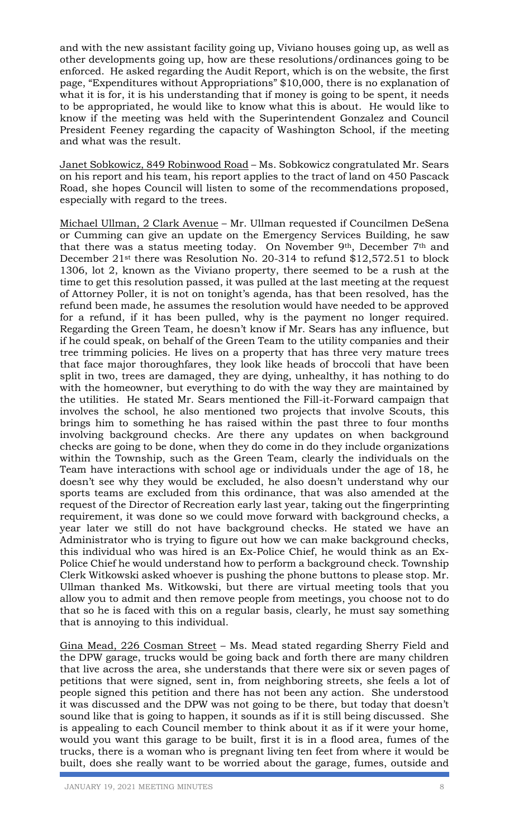and with the new assistant facility going up, Viviano houses going up, as well as other developments going up, how are these resolutions/ordinances going to be enforced. He asked regarding the Audit Report, which is on the website, the first page, "Expenditures without Appropriations" \$10,000, there is no explanation of what it is for, it is his understanding that if money is going to be spent, it needs to be appropriated, he would like to know what this is about. He would like to know if the meeting was held with the Superintendent Gonzalez and Council President Feeney regarding the capacity of Washington School, if the meeting and what was the result.

Janet Sobkowicz, 849 Robinwood Road – Ms. Sobkowicz congratulated Mr. Sears on his report and his team, his report applies to the tract of land on 450 Pascack Road, she hopes Council will listen to some of the recommendations proposed, especially with regard to the trees.

Michael Ullman, 2 Clark Avenue – Mr. Ullman requested if Councilmen DeSena or Cumming can give an update on the Emergency Services Building, he saw that there was a status meeting today. On November 9<sup>th</sup>, December 7<sup>th</sup> and December 21st there was Resolution No. 20-314 to refund \$12,572.51 to block 1306, lot 2, known as the Viviano property, there seemed to be a rush at the time to get this resolution passed, it was pulled at the last meeting at the request of Attorney Poller, it is not on tonight's agenda, has that been resolved, has the refund been made, he assumes the resolution would have needed to be approved for a refund, if it has been pulled, why is the payment no longer required. Regarding the Green Team, he doesn't know if Mr. Sears has any influence, but if he could speak, on behalf of the Green Team to the utility companies and their tree trimming policies. He lives on a property that has three very mature trees that face major thoroughfares, they look like heads of broccoli that have been split in two, trees are damaged, they are dying, unhealthy, it has nothing to do with the homeowner, but everything to do with the way they are maintained by the utilities. He stated Mr. Sears mentioned the Fill-it-Forward campaign that involves the school, he also mentioned two projects that involve Scouts, this brings him to something he has raised within the past three to four months involving background checks. Are there any updates on when background checks are going to be done, when they do come in do they include organizations within the Township, such as the Green Team, clearly the individuals on the Team have interactions with school age or individuals under the age of 18, he doesn't see why they would be excluded, he also doesn't understand why our sports teams are excluded from this ordinance, that was also amended at the request of the Director of Recreation early last year, taking out the fingerprinting requirement, it was done so we could move forward with background checks, a year later we still do not have background checks. He stated we have an Administrator who is trying to figure out how we can make background checks, this individual who was hired is an Ex-Police Chief, he would think as an Ex-Police Chief he would understand how to perform a background check. Township Clerk Witkowski asked whoever is pushing the phone buttons to please stop. Mr. Ullman thanked Ms. Witkowski, but there are virtual meeting tools that you allow you to admit and then remove people from meetings, you choose not to do that so he is faced with this on a regular basis, clearly, he must say something that is annoying to this individual.

Gina Mead, 226 Cosman Street – Ms. Mead stated regarding Sherry Field and the DPW garage, trucks would be going back and forth there are many children that live across the area, she understands that there were six or seven pages of petitions that were signed, sent in, from neighboring streets, she feels a lot of people signed this petition and there has not been any action. She understood it was discussed and the DPW was not going to be there, but today that doesn't sound like that is going to happen, it sounds as if it is still being discussed. She is appealing to each Council member to think about it as if it were your home, would you want this garage to be built, first it is in a flood area, fumes of the trucks, there is a woman who is pregnant living ten feet from where it would be built, does she really want to be worried about the garage, fumes, outside and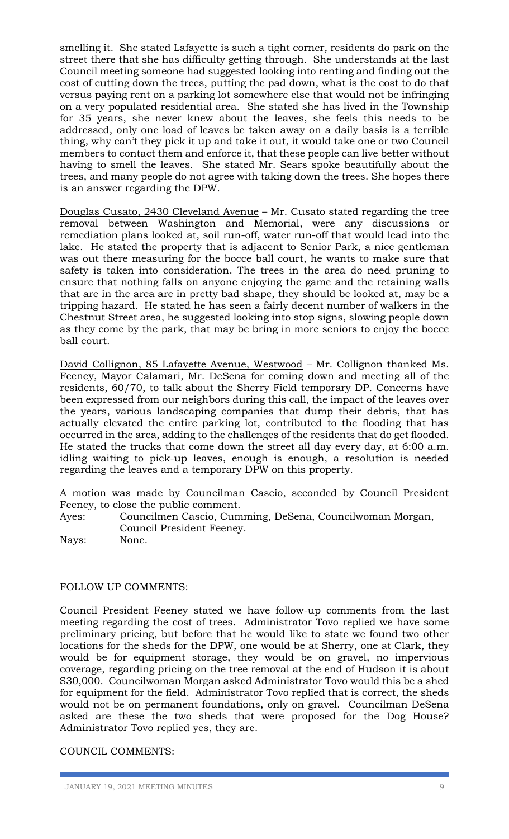smelling it. She stated Lafayette is such a tight corner, residents do park on the street there that she has difficulty getting through. She understands at the last Council meeting someone had suggested looking into renting and finding out the cost of cutting down the trees, putting the pad down, what is the cost to do that versus paying rent on a parking lot somewhere else that would not be infringing on a very populated residential area. She stated she has lived in the Township for 35 years, she never knew about the leaves, she feels this needs to be addressed, only one load of leaves be taken away on a daily basis is a terrible thing, why can't they pick it up and take it out, it would take one or two Council members to contact them and enforce it, that these people can live better without having to smell the leaves. She stated Mr. Sears spoke beautifully about the trees, and many people do not agree with taking down the trees. She hopes there is an answer regarding the DPW.

Douglas Cusato, 2430 Cleveland Avenue – Mr. Cusato stated regarding the tree removal between Washington and Memorial, were any discussions or remediation plans looked at, soil run-off, water run-off that would lead into the lake. He stated the property that is adjacent to Senior Park, a nice gentleman was out there measuring for the bocce ball court, he wants to make sure that safety is taken into consideration. The trees in the area do need pruning to ensure that nothing falls on anyone enjoying the game and the retaining walls that are in the area are in pretty bad shape, they should be looked at, may be a tripping hazard. He stated he has seen a fairly decent number of walkers in the Chestnut Street area, he suggested looking into stop signs, slowing people down as they come by the park, that may be bring in more seniors to enjoy the bocce ball court.

David Collignon, 85 Lafayette Avenue, Westwood – Mr. Collignon thanked Ms. Feeney, Mayor Calamari, Mr. DeSena for coming down and meeting all of the residents, 60/70, to talk about the Sherry Field temporary DP. Concerns have been expressed from our neighbors during this call, the impact of the leaves over the years, various landscaping companies that dump their debris, that has actually elevated the entire parking lot, contributed to the flooding that has occurred in the area, adding to the challenges of the residents that do get flooded. He stated the trucks that come down the street all day every day, at 6:00 a.m. idling waiting to pick-up leaves, enough is enough, a resolution is needed regarding the leaves and a temporary DPW on this property.

A motion was made by Councilman Cascio, seconded by Council President Feeney, to close the public comment.

Ayes: Councilmen Cascio, Cumming, DeSena, Councilwoman Morgan, Council President Feeney.

Nays: None.

## FOLLOW UP COMMENTS:

Council President Feeney stated we have follow-up comments from the last meeting regarding the cost of trees. Administrator Tovo replied we have some preliminary pricing, but before that he would like to state we found two other locations for the sheds for the DPW, one would be at Sherry, one at Clark, they would be for equipment storage, they would be on gravel, no impervious coverage, regarding pricing on the tree removal at the end of Hudson it is about \$30,000. Councilwoman Morgan asked Administrator Tovo would this be a shed for equipment for the field. Administrator Tovo replied that is correct, the sheds would not be on permanent foundations, only on gravel. Councilman DeSena asked are these the two sheds that were proposed for the Dog House? Administrator Tovo replied yes, they are.

### COUNCIL COMMENTS: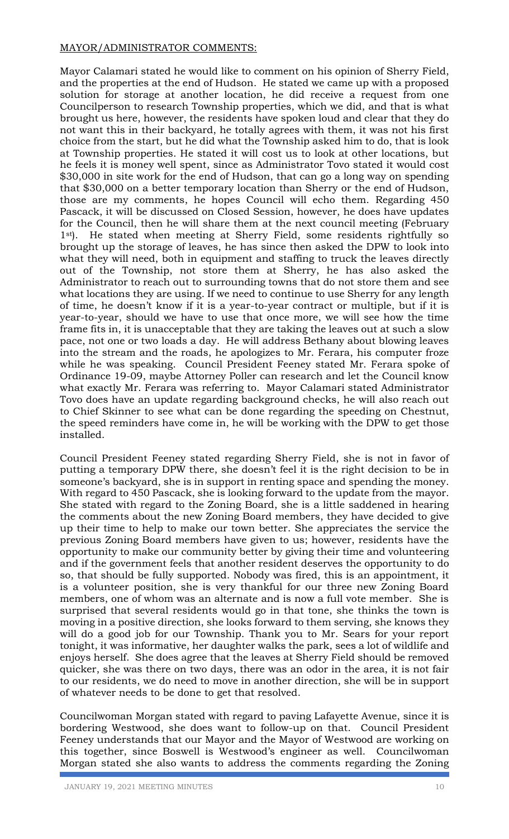## MAYOR/ADMINISTRATOR COMMENTS:

Mayor Calamari stated he would like to comment on his opinion of Sherry Field, and the properties at the end of Hudson. He stated we came up with a proposed solution for storage at another location, he did receive a request from one Councilperson to research Township properties, which we did, and that is what brought us here, however, the residents have spoken loud and clear that they do not want this in their backyard, he totally agrees with them, it was not his first choice from the start, but he did what the Township asked him to do, that is look at Township properties. He stated it will cost us to look at other locations, but he feels it is money well spent, since as Administrator Tovo stated it would cost \$30,000 in site work for the end of Hudson, that can go a long way on spending that \$30,000 on a better temporary location than Sherry or the end of Hudson, those are my comments, he hopes Council will echo them. Regarding 450 Pascack, it will be discussed on Closed Session, however, he does have updates for the Council, then he will share them at the next council meeting (February 1<sup>st</sup>). He stated when meeting at Sherry Field, some residents rightfully so brought up the storage of leaves, he has since then asked the DPW to look into what they will need, both in equipment and staffing to truck the leaves directly out of the Township, not store them at Sherry, he has also asked the Administrator to reach out to surrounding towns that do not store them and see what locations they are using. If we need to continue to use Sherry for any length of time, he doesn't know if it is a year-to-year contract or multiple, but if it is year-to-year, should we have to use that once more, we will see how the time frame fits in, it is unacceptable that they are taking the leaves out at such a slow pace, not one or two loads a day. He will address Bethany about blowing leaves into the stream and the roads, he apologizes to Mr. Ferara, his computer froze while he was speaking. Council President Feeney stated Mr. Ferara spoke of Ordinance 19-09, maybe Attorney Poller can research and let the Council know what exactly Mr. Ferara was referring to. Mayor Calamari stated Administrator Tovo does have an update regarding background checks, he will also reach out to Chief Skinner to see what can be done regarding the speeding on Chestnut, the speed reminders have come in, he will be working with the DPW to get those installed.

Council President Feeney stated regarding Sherry Field, she is not in favor of putting a temporary DPW there, she doesn't feel it is the right decision to be in someone's backyard, she is in support in renting space and spending the money. With regard to 450 Pascack, she is looking forward to the update from the mayor. She stated with regard to the Zoning Board, she is a little saddened in hearing the comments about the new Zoning Board members, they have decided to give up their time to help to make our town better. She appreciates the service the previous Zoning Board members have given to us; however, residents have the opportunity to make our community better by giving their time and volunteering and if the government feels that another resident deserves the opportunity to do so, that should be fully supported. Nobody was fired, this is an appointment, it is a volunteer position, she is very thankful for our three new Zoning Board members, one of whom was an alternate and is now a full vote member. She is surprised that several residents would go in that tone, she thinks the town is moving in a positive direction, she looks forward to them serving, she knows they will do a good job for our Township. Thank you to Mr. Sears for your report tonight, it was informative, her daughter walks the park, sees a lot of wildlife and enjoys herself. She does agree that the leaves at Sherry Field should be removed quicker, she was there on two days, there was an odor in the area, it is not fair to our residents, we do need to move in another direction, she will be in support of whatever needs to be done to get that resolved.

Councilwoman Morgan stated with regard to paving Lafayette Avenue, since it is bordering Westwood, she does want to follow-up on that. Council President Feeney understands that our Mayor and the Mayor of Westwood are working on this together, since Boswell is Westwood's engineer as well. Councilwoman Morgan stated she also wants to address the comments regarding the Zoning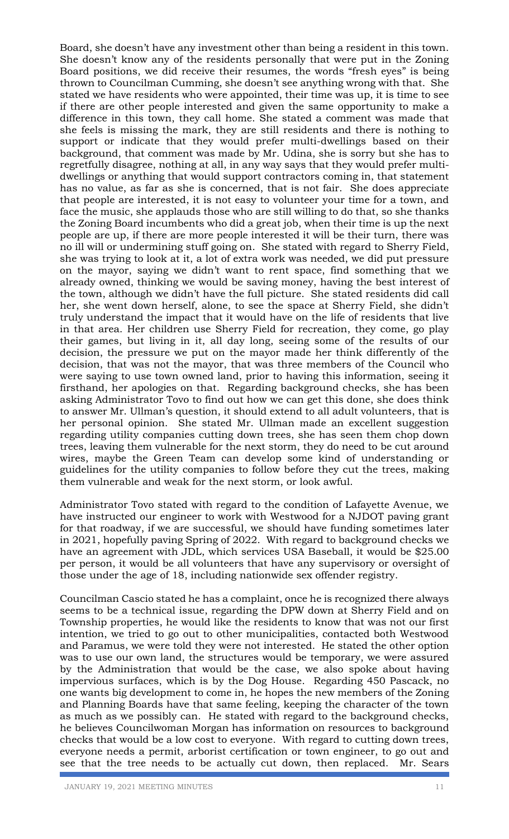Board, she doesn't have any investment other than being a resident in this town. She doesn't know any of the residents personally that were put in the Zoning Board positions, we did receive their resumes, the words "fresh eyes" is being thrown to Councilman Cumming, she doesn't see anything wrong with that. She stated we have residents who were appointed, their time was up, it is time to see if there are other people interested and given the same opportunity to make a difference in this town, they call home. She stated a comment was made that she feels is missing the mark, they are still residents and there is nothing to support or indicate that they would prefer multi-dwellings based on their background, that comment was made by Mr. Udina, she is sorry but she has to regretfully disagree, nothing at all, in any way says that they would prefer multidwellings or anything that would support contractors coming in, that statement has no value, as far as she is concerned, that is not fair. She does appreciate that people are interested, it is not easy to volunteer your time for a town, and face the music, she applauds those who are still willing to do that, so she thanks the Zoning Board incumbents who did a great job, when their time is up the next people are up, if there are more people interested it will be their turn, there was no ill will or undermining stuff going on. She stated with regard to Sherry Field, she was trying to look at it, a lot of extra work was needed, we did put pressure on the mayor, saying we didn't want to rent space, find something that we already owned, thinking we would be saving money, having the best interest of the town, although we didn't have the full picture. She stated residents did call her, she went down herself, alone, to see the space at Sherry Field, she didn't truly understand the impact that it would have on the life of residents that live in that area. Her children use Sherry Field for recreation, they come, go play their games, but living in it, all day long, seeing some of the results of our decision, the pressure we put on the mayor made her think differently of the decision, that was not the mayor, that was three members of the Council who were saying to use town owned land, prior to having this information, seeing it firsthand, her apologies on that. Regarding background checks, she has been asking Administrator Tovo to find out how we can get this done, she does think to answer Mr. Ullman's question, it should extend to all adult volunteers, that is her personal opinion. She stated Mr. Ullman made an excellent suggestion regarding utility companies cutting down trees, she has seen them chop down trees, leaving them vulnerable for the next storm, they do need to be cut around wires, maybe the Green Team can develop some kind of understanding or guidelines for the utility companies to follow before they cut the trees, making them vulnerable and weak for the next storm, or look awful.

Administrator Tovo stated with regard to the condition of Lafayette Avenue, we have instructed our engineer to work with Westwood for a NJDOT paving grant for that roadway, if we are successful, we should have funding sometimes later in 2021, hopefully paving Spring of 2022. With regard to background checks we have an agreement with JDL, which services USA Baseball, it would be \$25.00 per person, it would be all volunteers that have any supervisory or oversight of those under the age of 18, including nationwide sex offender registry.

Councilman Cascio stated he has a complaint, once he is recognized there always seems to be a technical issue, regarding the DPW down at Sherry Field and on Township properties, he would like the residents to know that was not our first intention, we tried to go out to other municipalities, contacted both Westwood and Paramus, we were told they were not interested. He stated the other option was to use our own land, the structures would be temporary, we were assured by the Administration that would be the case, we also spoke about having impervious surfaces, which is by the Dog House. Regarding 450 Pascack, no one wants big development to come in, he hopes the new members of the Zoning and Planning Boards have that same feeling, keeping the character of the town as much as we possibly can. He stated with regard to the background checks, he believes Councilwoman Morgan has information on resources to background checks that would be a low cost to everyone. With regard to cutting down trees, everyone needs a permit, arborist certification or town engineer, to go out and see that the tree needs to be actually cut down, then replaced. Mr. Sears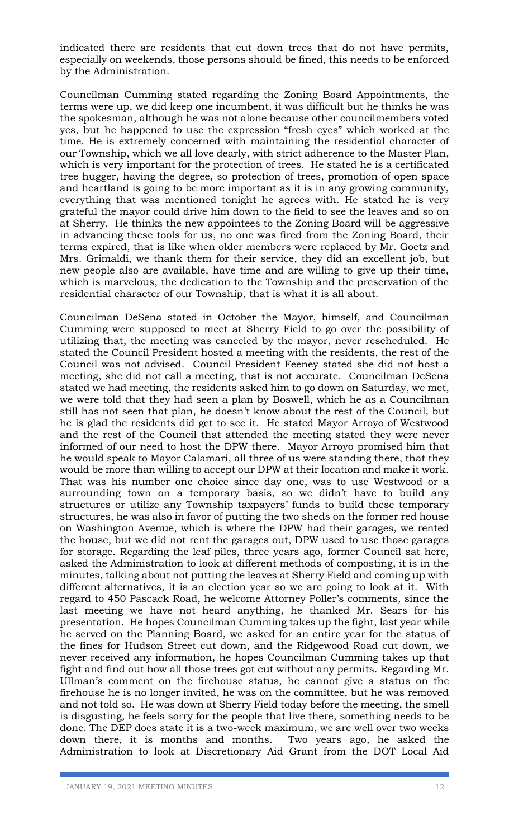indicated there are residents that cut down trees that do not have permits, especially on weekends, those persons should be fined, this needs to be enforced by the Administration.

Councilman Cumming stated regarding the Zoning Board Appointments, the terms were up, we did keep one incumbent, it was difficult but he thinks he was the spokesman, although he was not alone because other councilmembers voted yes, but he happened to use the expression "fresh eyes" which worked at the time. He is extremely concerned with maintaining the residential character of our Township, which we all love dearly, with strict adherence to the Master Plan, which is very important for the protection of trees. He stated he is a certificated tree hugger, having the degree, so protection of trees, promotion of open space and heartland is going to be more important as it is in any growing community, everything that was mentioned tonight he agrees with. He stated he is very grateful the mayor could drive him down to the field to see the leaves and so on at Sherry. He thinks the new appointees to the Zoning Board will be aggressive in advancing these tools for us, no one was fired from the Zoning Board, their terms expired, that is like when older members were replaced by Mr. Goetz and Mrs. Grimaldi, we thank them for their service, they did an excellent job, but new people also are available, have time and are willing to give up their time, which is marvelous, the dedication to the Township and the preservation of the residential character of our Township, that is what it is all about.

Councilman DeSena stated in October the Mayor, himself, and Councilman Cumming were supposed to meet at Sherry Field to go over the possibility of utilizing that, the meeting was canceled by the mayor, never rescheduled. He stated the Council President hosted a meeting with the residents, the rest of the Council was not advised. Council President Feeney stated she did not host a meeting, she did not call a meeting, that is not accurate. Councilman DeSena stated we had meeting, the residents asked him to go down on Saturday, we met, we were told that they had seen a plan by Boswell, which he as a Councilman still has not seen that plan, he doesn't know about the rest of the Council, but he is glad the residents did get to see it. He stated Mayor Arroyo of Westwood and the rest of the Council that attended the meeting stated they were never informed of our need to host the DPW there. Mayor Arroyo promised him that he would speak to Mayor Calamari, all three of us were standing there, that they would be more than willing to accept our DPW at their location and make it work. That was his number one choice since day one, was to use Westwood or a surrounding town on a temporary basis, so we didn't have to build any structures or utilize any Township taxpayers' funds to build these temporary structures, he was also in favor of putting the two sheds on the former red house on Washington Avenue, which is where the DPW had their garages, we rented the house, but we did not rent the garages out, DPW used to use those garages for storage. Regarding the leaf piles, three years ago, former Council sat here, asked the Administration to look at different methods of composting, it is in the minutes, talking about not putting the leaves at Sherry Field and coming up with different alternatives, it is an election year so we are going to look at it. With regard to 450 Pascack Road, he welcome Attorney Poller's comments, since the last meeting we have not heard anything, he thanked Mr. Sears for his presentation. He hopes Councilman Cumming takes up the fight, last year while he served on the Planning Board, we asked for an entire year for the status of the fines for Hudson Street cut down, and the Ridgewood Road cut down, we never received any information, he hopes Councilman Cumming takes up that fight and find out how all those trees got cut without any permits. Regarding Mr. Ullman's comment on the firehouse status, he cannot give a status on the firehouse he is no longer invited, he was on the committee, but he was removed and not told so. He was down at Sherry Field today before the meeting, the smell is disgusting, he feels sorry for the people that live there, something needs to be done. The DEP does state it is a two-week maximum, we are well over two weeks down there, it is months and months. Two years ago, he asked the Administration to look at Discretionary Aid Grant from the DOT Local Aid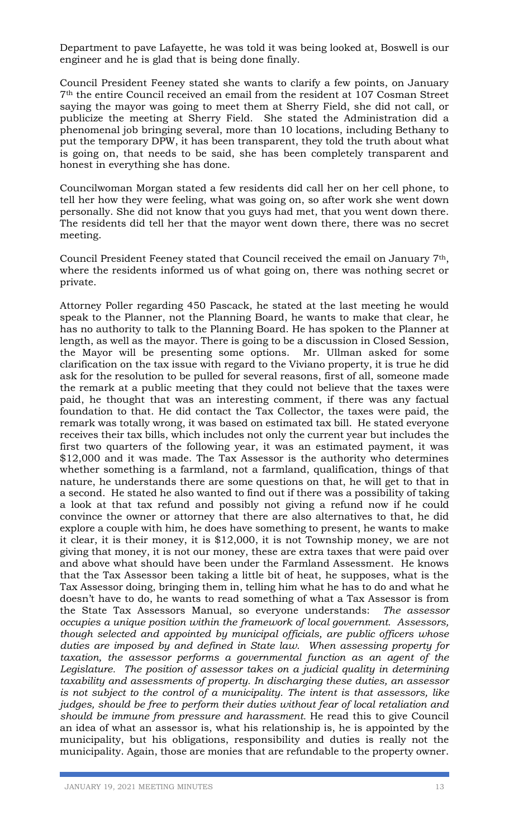Department to pave Lafayette, he was told it was being looked at, Boswell is our engineer and he is glad that is being done finally.

Council President Feeney stated she wants to clarify a few points, on January 7th the entire Council received an email from the resident at 107 Cosman Street saying the mayor was going to meet them at Sherry Field, she did not call, or publicize the meeting at Sherry Field. She stated the Administration did a phenomenal job bringing several, more than 10 locations, including Bethany to put the temporary DPW, it has been transparent, they told the truth about what is going on, that needs to be said, she has been completely transparent and honest in everything she has done.

Councilwoman Morgan stated a few residents did call her on her cell phone, to tell her how they were feeling, what was going on, so after work she went down personally. She did not know that you guys had met, that you went down there. The residents did tell her that the mayor went down there, there was no secret meeting.

Council President Feeney stated that Council received the email on January 7th, where the residents informed us of what going on, there was nothing secret or private.

Attorney Poller regarding 450 Pascack, he stated at the last meeting he would speak to the Planner, not the Planning Board, he wants to make that clear, he has no authority to talk to the Planning Board. He has spoken to the Planner at length, as well as the mayor. There is going to be a discussion in Closed Session, the Mayor will be presenting some options. Mr. Ullman asked for some clarification on the tax issue with regard to the Viviano property, it is true he did ask for the resolution to be pulled for several reasons, first of all, someone made the remark at a public meeting that they could not believe that the taxes were paid, he thought that was an interesting comment, if there was any factual foundation to that. He did contact the Tax Collector, the taxes were paid, the remark was totally wrong, it was based on estimated tax bill. He stated everyone receives their tax bills, which includes not only the current year but includes the first two quarters of the following year, it was an estimated payment, it was \$12,000 and it was made. The Tax Assessor is the authority who determines whether something is a farmland, not a farmland, qualification, things of that nature, he understands there are some questions on that, he will get to that in a second. He stated he also wanted to find out if there was a possibility of taking a look at that tax refund and possibly not giving a refund now if he could convince the owner or attorney that there are also alternatives to that, he did explore a couple with him, he does have something to present, he wants to make it clear, it is their money, it is \$12,000, it is not Township money, we are not giving that money, it is not our money, these are extra taxes that were paid over and above what should have been under the Farmland Assessment. He knows that the Tax Assessor been taking a little bit of heat, he supposes, what is the Tax Assessor doing, bringing them in, telling him what he has to do and what he doesn't have to do, he wants to read something of what a Tax Assessor is from the State Tax Assessors Manual, so everyone understands: *The assessor occupies a unique position within the framework of local government. Assessors, though selected and appointed by municipal officials, are public officers whose duties are imposed by and defined in State law. When assessing property for taxation, the assessor performs a governmental function as an agent of the*  Legislature. The position of assessor takes on a judicial quality in determining *taxability and assessments of property. In discharging these duties, an assessor is not subject to the control of a municipality. The intent is that assessors, like judges, should be free to perform their duties without fear of local retaliation and should be immune from pressure and harassment.* He read this to give Council an idea of what an assessor is, what his relationship is, he is appointed by the municipality, but his obligations, responsibility and duties is really not the municipality. Again, those are monies that are refundable to the property owner.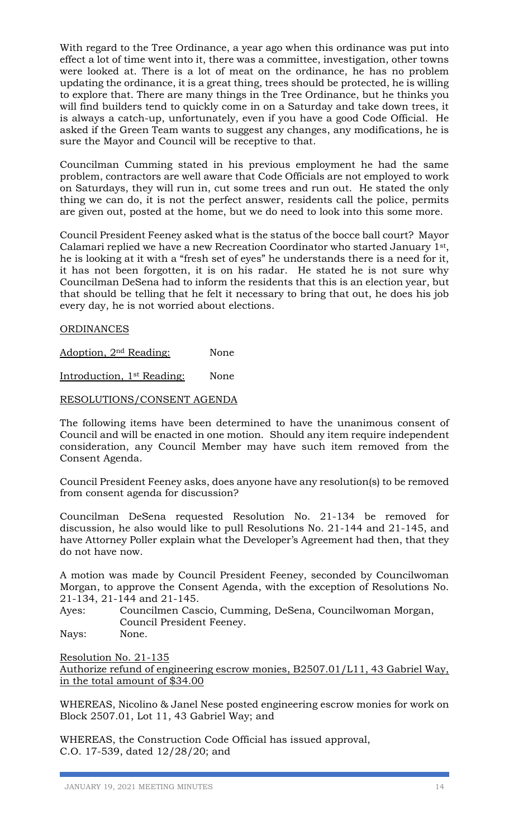With regard to the Tree Ordinance, a year ago when this ordinance was put into effect a lot of time went into it, there was a committee, investigation, other towns were looked at. There is a lot of meat on the ordinance, he has no problem updating the ordinance, it is a great thing, trees should be protected, he is willing to explore that. There are many things in the Tree Ordinance, but he thinks you will find builders tend to quickly come in on a Saturday and take down trees, it is always a catch-up, unfortunately, even if you have a good Code Official. He asked if the Green Team wants to suggest any changes, any modifications, he is sure the Mayor and Council will be receptive to that.

Councilman Cumming stated in his previous employment he had the same problem, contractors are well aware that Code Officials are not employed to work on Saturdays, they will run in, cut some trees and run out. He stated the only thing we can do, it is not the perfect answer, residents call the police, permits are given out, posted at the home, but we do need to look into this some more.

Council President Feeney asked what is the status of the bocce ball court? Mayor Calamari replied we have a new Recreation Coordinator who started January 1st , he is looking at it with a "fresh set of eyes" he understands there is a need for it, it has not been forgotten, it is on his radar. He stated he is not sure why Councilman DeSena had to inform the residents that this is an election year, but that should be telling that he felt it necessary to bring that out, he does his job every day, he is not worried about elections.

**ORDINANCES** 

Adoption, 2<sup>nd</sup> Reading: None

Introduction, 1<sup>st</sup> Reading: None

RESOLUTIONS/CONSENT AGENDA

The following items have been determined to have the unanimous consent of Council and will be enacted in one motion. Should any item require independent consideration, any Council Member may have such item removed from the Consent Agenda.

Council President Feeney asks, does anyone have any resolution(s) to be removed from consent agenda for discussion?

Councilman DeSena requested Resolution No. 21-134 be removed for discussion, he also would like to pull Resolutions No. 21-144 and 21-145, and have Attorney Poller explain what the Developer's Agreement had then, that they do not have now.

A motion was made by Council President Feeney, seconded by Councilwoman Morgan, to approve the Consent Agenda, with the exception of Resolutions No. 21-134, 21-144 and 21-145.

Ayes: Councilmen Cascio, Cumming, DeSena, Councilwoman Morgan, Council President Feeney.

Nays: None.

Resolution No. 21-135 Authorize refund of engineering escrow monies, B2507.01/L11, 43 Gabriel Way, in the total amount of \$34.00

WHEREAS, Nicolino & Janel Nese posted engineering escrow monies for work on Block 2507.01, Lot 11, 43 Gabriel Way; and

WHEREAS, the Construction Code Official has issued approval, C.O. 17-539, dated 12/28/20; and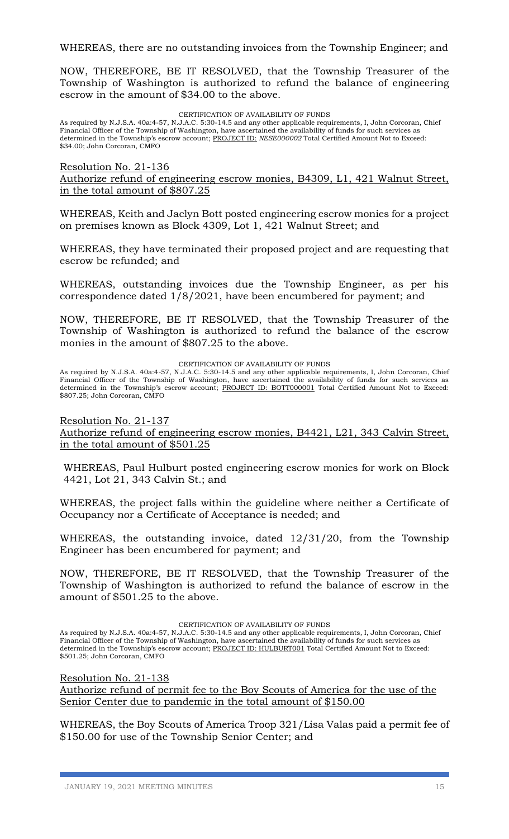NOW, THEREFORE, BE IT RESOLVED, that the Township Treasurer of the Township of Washington is authorized to refund the balance of engineering escrow in the amount of \$34.00 to the above.

CERTIFICATION OF AVAILABILITY OF FUNDS

As required by N.J.S.A. 40a:4-57, N.J.A.C. 5:30-14.5 and any other applicable requirements, I, John Corcoran, Chief Financial Officer of the Township of Washington, have ascertained the availability of funds for such services as determined in the Township's escrow account; PROJECT ID: *NESE000002* Total Certified Amount Not to Exceed: \$34.00; John Corcoran, CMFO

Resolution No. 21-136

Authorize refund of engineering escrow monies, B4309, L1, 421 Walnut Street, in the total amount of \$807.25

WHEREAS, Keith and Jaclyn Bott posted engineering escrow monies for a project on premises known as Block 4309, Lot 1, 421 Walnut Street; and

WHEREAS, they have terminated their proposed project and are requesting that escrow be refunded; and

WHEREAS, outstanding invoices due the Township Engineer, as per his correspondence dated 1/8/2021, have been encumbered for payment; and

NOW, THEREFORE, BE IT RESOLVED, that the Township Treasurer of the Township of Washington is authorized to refund the balance of the escrow monies in the amount of \$807.25 to the above.

CERTIFICATION OF AVAILABILITY OF FUNDS

As required by N.J.S.A. 40a:4-57, N.J.A.C. 5:30-14.5 and any other applicable requirements, I, John Corcoran, Chief Financial Officer of the Township of Washington, have ascertained the availability of funds for such services as determined in the Township's escrow account; PROJECT ID: BOTT000001 Total Certified Amount Not to Exceed: \$807.25; John Corcoran, CMFO

Resolution No. 21-137

Authorize refund of engineering escrow monies, B4421, L21, 343 Calvin Street, in the total amount of \$501.25

WHEREAS, Paul Hulburt posted engineering escrow monies for work on Block 4421, Lot 21, 343 Calvin St.; and

WHEREAS, the project falls within the guideline where neither a Certificate of Occupancy nor a Certificate of Acceptance is needed; and

WHEREAS, the outstanding invoice, dated 12/31/20, from the Township Engineer has been encumbered for payment; and

NOW, THEREFORE, BE IT RESOLVED, that the Township Treasurer of the Township of Washington is authorized to refund the balance of escrow in the amount of \$501.25 to the above.

CERTIFICATION OF AVAILABILITY OF FUNDS

As required by N.J.S.A. 40a:4-57, N.J.A.C. 5:30-14.5 and any other applicable requirements, I, John Corcoran, Chief Financial Officer of the Township of Washington, have ascertained the availability of funds for such services as determined in the Township's escrow account; PROJECT ID: HULBURT001 Total Certified Amount Not to Exceed: \$501.25; John Corcoran, CMFO

Resolution No. 21-138

Authorize refund of permit fee to the Boy Scouts of America for the use of the Senior Center due to pandemic in the total amount of \$150.00

WHEREAS, the Boy Scouts of America Troop 321/Lisa Valas paid a permit fee of \$150.00 for use of the Township Senior Center; and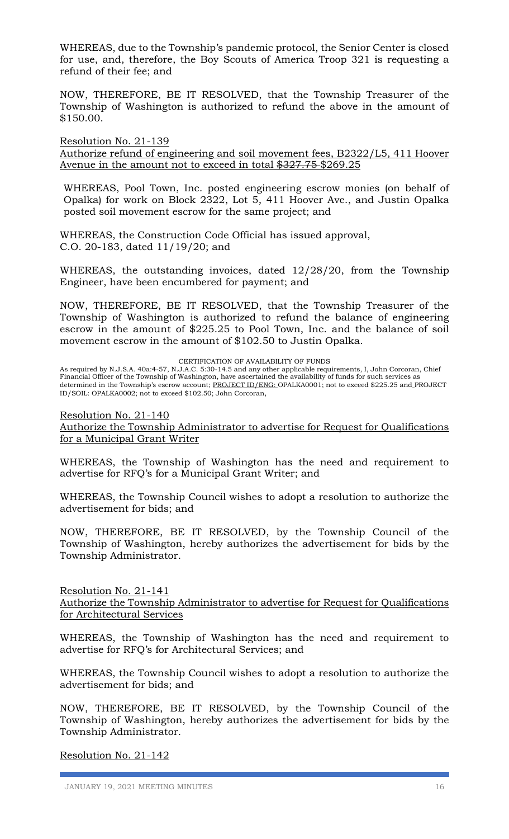WHEREAS, due to the Township's pandemic protocol, the Senior Center is closed for use, and, therefore, the Boy Scouts of America Troop 321 is requesting a refund of their fee; and

NOW, THEREFORE, BE IT RESOLVED, that the Township Treasurer of the Township of Washington is authorized to refund the above in the amount of \$150.00.

Resolution No. 21-139 Authorize refund of engineering and soil movement fees, B2322/L5, 411 Hoover Avenue in the amount not to exceed in total \$327.75 \$269.25

WHEREAS, Pool Town, Inc. posted engineering escrow monies (on behalf of Opalka) for work on Block 2322, Lot 5, 411 Hoover Ave., and Justin Opalka posted soil movement escrow for the same project; and

WHEREAS, the Construction Code Official has issued approval, C.O. 20-183, dated 11/19/20; and

WHEREAS, the outstanding invoices, dated 12/28/20, from the Township Engineer, have been encumbered for payment; and

NOW, THEREFORE, BE IT RESOLVED, that the Township Treasurer of the Township of Washington is authorized to refund the balance of engineering escrow in the amount of \$225.25 to Pool Town, Inc. and the balance of soil movement escrow in the amount of \$102.50 to Justin Opalka.

CERTIFICATION OF AVAILABILITY OF FUNDS

As required by N.J.S.A. 40a:4-57, N.J.A.C. 5:30-14.5 and any other applicable requirements, I, John Corcoran, Chief Financial Officer of the Township of Washington, have ascertained the availability of funds for such services as determined in the Township's escrow account; PROJECT ID/ENG: OPALKA0001; not to exceed \$225.25 and PROJECT ID/SOIL: OPALKA0002; not to exceed \$102.50; John Corcoran,

Resolution No. 21-140

Authorize the Township Administrator to advertise for Request for Qualifications for a Municipal Grant Writer

WHEREAS, the Township of Washington has the need and requirement to advertise for RFQ's for a Municipal Grant Writer; and

WHEREAS, the Township Council wishes to adopt a resolution to authorize the advertisement for bids; and

NOW, THEREFORE, BE IT RESOLVED, by the Township Council of the Township of Washington, hereby authorizes the advertisement for bids by the Township Administrator.

Resolution No. 21-141 Authorize the Township Administrator to advertise for Request for Qualifications for Architectural Services

WHEREAS, the Township of Washington has the need and requirement to advertise for RFQ's for Architectural Services; and

WHEREAS, the Township Council wishes to adopt a resolution to authorize the advertisement for bids; and

NOW, THEREFORE, BE IT RESOLVED, by the Township Council of the Township of Washington, hereby authorizes the advertisement for bids by the Township Administrator.

Resolution No. 21-142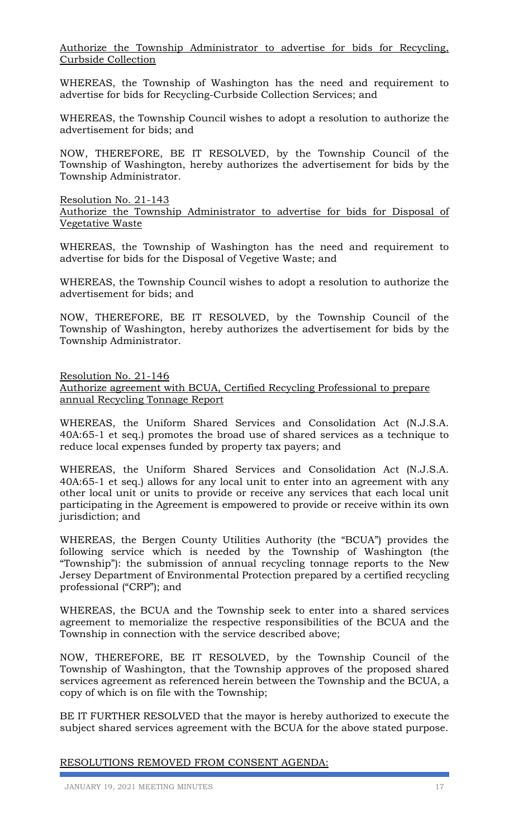Authorize the Township Administrator to advertise for bids for Recycling, Curbside Collection

WHEREAS, the Township of Washington has the need and requirement to advertise for bids for Recycling-Curbside Collection Services; and

WHEREAS, the Township Council wishes to adopt a resolution to authorize the advertisement for bids; and

NOW, THEREFORE, BE IT RESOLVED, by the Township Council of the Township of Washington, hereby authorizes the advertisement for bids by the Township Administrator.

Resolution No. 21-143

Authorize the Township Administrator to advertise for bids for Disposal of Vegetative Waste

WHEREAS, the Township of Washington has the need and requirement to advertise for bids for the Disposal of Vegetive Waste; and

WHEREAS, the Township Council wishes to adopt a resolution to authorize the advertisement for bids; and

NOW, THEREFORE, BE IT RESOLVED, by the Township Council of the Township of Washington, hereby authorizes the advertisement for bids by the Township Administrator.

Resolution No. 21-146 Authorize agreement with BCUA, Certified Recycling Professional to prepare annual Recycling Tonnage Report

WHEREAS, the Uniform Shared Services and Consolidation Act (N.J.S.A. 40A:65-1 et seq.) promotes the broad use of shared services as a technique to reduce local expenses funded by property tax payers; and

WHEREAS, the Uniform Shared Services and Consolidation Act (N.J.S.A. 40A:65-1 et seq.) allows for any local unit to enter into an agreement with any other local unit or units to provide or receive any services that each local unit participating in the Agreement is empowered to provide or receive within its own jurisdiction; and

WHEREAS, the Bergen County Utilities Authority (the "BCUA") provides the following service which is needed by the Township of Washington (the "Township"): the submission of annual recycling tonnage reports to the New Jersey Department of Environmental Protection prepared by a certified recycling professional ("CRP"); and

WHEREAS, the BCUA and the Township seek to enter into a shared services agreement to memorialize the respective responsibilities of the BCUA and the Township in connection with the service described above;

NOW, THEREFORE, BE IT RESOLVED, by the Township Council of the Township of Washington, that the Township approves of the proposed shared services agreement as referenced herein between the Township and the BCUA, a copy of which is on file with the Township;

BE IT FURTHER RESOLVED that the mayor is hereby authorized to execute the subject shared services agreement with the BCUA for the above stated purpose.

### RESOLUTIONS REMOVED FROM CONSENT AGENDA: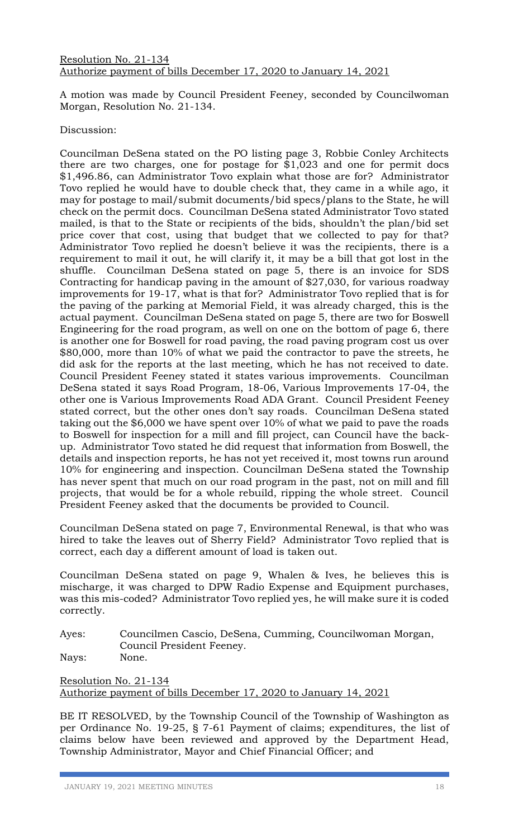A motion was made by Council President Feeney, seconded by Councilwoman Morgan, Resolution No. 21-134.

## Discussion:

Councilman DeSena stated on the PO listing page 3, Robbie Conley Architects there are two charges, one for postage for \$1,023 and one for permit docs \$1,496.86, can Administrator Tovo explain what those are for? Administrator Tovo replied he would have to double check that, they came in a while ago, it may for postage to mail/submit documents/bid specs/plans to the State, he will check on the permit docs. Councilman DeSena stated Administrator Tovo stated mailed, is that to the State or recipients of the bids, shouldn't the plan/bid set price cover that cost, using that budget that we collected to pay for that? Administrator Tovo replied he doesn't believe it was the recipients, there is a requirement to mail it out, he will clarify it, it may be a bill that got lost in the shuffle. Councilman DeSena stated on page 5, there is an invoice for SDS Contracting for handicap paving in the amount of \$27,030, for various roadway improvements for 19-17, what is that for? Administrator Tovo replied that is for the paving of the parking at Memorial Field, it was already charged, this is the actual payment. Councilman DeSena stated on page 5, there are two for Boswell Engineering for the road program, as well on one on the bottom of page 6, there is another one for Boswell for road paving, the road paving program cost us over \$80,000, more than 10% of what we paid the contractor to pave the streets, he did ask for the reports at the last meeting, which he has not received to date. Council President Feeney stated it states various improvements. Councilman DeSena stated it says Road Program, 18-06, Various Improvements 17-04, the other one is Various Improvements Road ADA Grant. Council President Feeney stated correct, but the other ones don't say roads. Councilman DeSena stated taking out the \$6,000 we have spent over 10% of what we paid to pave the roads to Boswell for inspection for a mill and fill project, can Council have the backup. Administrator Tovo stated he did request that information from Boswell, the details and inspection reports, he has not yet received it, most towns run around 10% for engineering and inspection. Councilman DeSena stated the Township has never spent that much on our road program in the past, not on mill and fill projects, that would be for a whole rebuild, ripping the whole street. Council President Feeney asked that the documents be provided to Council.

Councilman DeSena stated on page 7, Environmental Renewal, is that who was hired to take the leaves out of Sherry Field? Administrator Tovo replied that is correct, each day a different amount of load is taken out.

Councilman DeSena stated on page 9, Whalen & Ives, he believes this is mischarge, it was charged to DPW Radio Expense and Equipment purchases, was this mis-coded? Administrator Tovo replied yes, he will make sure it is coded correctly.

Ayes: Councilmen Cascio, DeSena, Cumming, Councilwoman Morgan, Council President Feeney. Nays: None.

Resolution No. 21-134 Authorize payment of bills December 17, 2020 to January 14, 2021

BE IT RESOLVED, by the Township Council of the Township of Washington as per Ordinance No. 19-25, § 7-61 Payment of claims; expenditures, the list of claims below have been reviewed and approved by the Department Head, Township Administrator, Mayor and Chief Financial Officer; and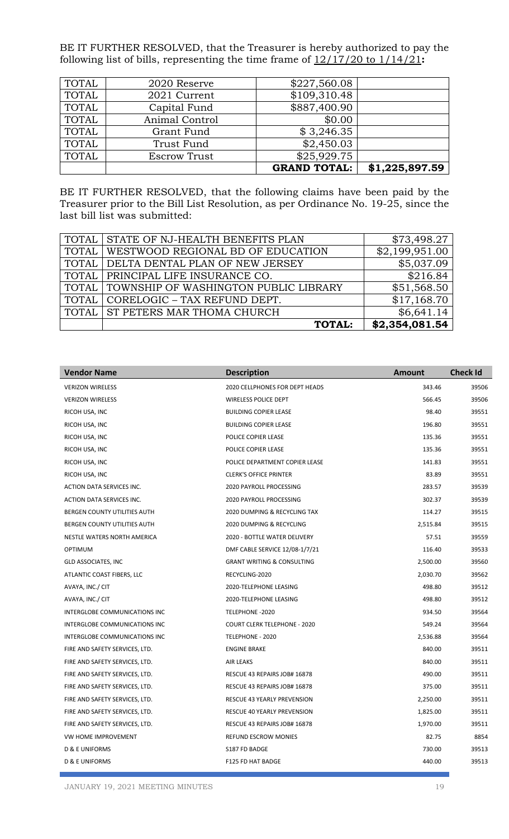BE IT FURTHER RESOLVED, that the Treasurer is hereby authorized to pay the following list of bills, representing the time frame of 12/17/20 to 1/14/21**:**

|       |                     | <b>GRAND TOTAL:</b> | \$1,225,897.59 |
|-------|---------------------|---------------------|----------------|
| TOTAL | <b>Escrow Trust</b> | \$25,929.75         |                |
| TOTAL | Trust Fund          | \$2,450.03          |                |
| TOTAL | Grant Fund          | \$3,246.35          |                |
| TOTAL | Animal Control      | \$0.00              |                |
| TOTAL | Capital Fund        | \$887,400.90        |                |
| TOTAL | 2021 Current        | \$109,310.48        |                |
| TOTAL | 2020 Reserve        | \$227,560.08        |                |
|       |                     |                     |                |

BE IT FURTHER RESOLVED, that the following claims have been paid by the Treasurer prior to the Bill List Resolution, as per Ordinance No. 19-25, since the last bill list was submitted:

|              | TOTAL STATE OF NJ-HEALTH BENEFITS PLAN        | \$73,498.27    |
|--------------|-----------------------------------------------|----------------|
|              | TOTAL WESTWOOD REGIONAL BD OF EDUCATION       | \$2,199,951.00 |
|              | TOTAL   DELTA DENTAL PLAN OF NEW JERSEY       | \$5,037.09     |
|              | TOTAL   PRINCIPAL LIFE INSURANCE CO.          | \$216.84       |
|              | TOTAL   TOWNSHIP OF WASHINGTON PUBLIC LIBRARY | \$51,568.50    |
| <b>TOTAL</b> | CORELOGIC - TAX REFUND DEPT.                  | \$17,168.70    |
|              | TOTAL ST PETERS MAR THOMA CHURCH              | \$6,641.14     |
|              | <b>TOTAL:</b>                                 | \$2,354,081.54 |

| <b>Vendor Name</b>             | <b>Description</b>                    | <b>Amount</b> | <b>Check Id</b> |
|--------------------------------|---------------------------------------|---------------|-----------------|
| <b>VERIZON WIRELESS</b>        | <b>2020 CELLPHONES FOR DEPT HEADS</b> | 343.46        | 39506           |
| <b>VERIZON WIRELESS</b>        | WIRELESS POLICE DEPT                  | 566.45        | 39506           |
| RICOH USA, INC                 | <b>BUILDING COPIER LEASE</b>          | 98.40         | 39551           |
| RICOH USA, INC                 | <b>BUILDING COPIER LEASE</b>          | 196.80        | 39551           |
| RICOH USA, INC                 | POLICE COPIER LEASE                   | 135.36        | 39551           |
| RICOH USA, INC                 | POLICE COPIER LEASE                   | 135.36        | 39551           |
| RICOH USA, INC                 | POLICE DEPARTMENT COPIER LEASE        | 141.83        | 39551           |
| RICOH USA, INC                 | <b>CLERK'S OFFICE PRINTER</b>         | 83.89         | 39551           |
| ACTION DATA SERVICES INC.      | 2020 PAYROLL PROCESSING               | 283.57        | 39539           |
| ACTION DATA SERVICES INC.      | 2020 PAYROLL PROCESSING               | 302.37        | 39539           |
| BERGEN COUNTY UTILITIES AUTH   | 2020 DUMPING & RECYCLING TAX          | 114.27        | 39515           |
| BERGEN COUNTY UTILITIES AUTH   | 2020 DUMPING & RECYCLING              | 2,515.84      | 39515           |
| NESTLE WATERS NORTH AMERICA    | 2020 - BOTTLE WATER DELIVERY          | 57.51         | 39559           |
| <b>OPTIMUM</b>                 | DMF CABLE SERVICE 12/08-1/7/21        | 116.40        | 39533           |
| <b>GLD ASSOCIATES, INC</b>     | <b>GRANT WRITING &amp; CONSULTING</b> | 2,500.00      | 39560           |
| ATLANTIC COAST FIBERS, LLC     | RECYCLING-2020                        | 2,030.70      | 39562           |
| AVAYA, INC./ CIT               | 2020-TELEPHONE LEASING                | 498.80        | 39512           |
| AVAYA, INC./ CIT               | 2020-TELEPHONE LEASING                | 498.80        | 39512           |
| INTERGLOBE COMMUNICATIONS INC  | TELEPHONE -2020                       | 934.50        | 39564           |
| INTERGLOBE COMMUNICATIONS INC  | <b>COURT CLERK TELEPHONE - 2020</b>   | 549.24        | 39564           |
| INTERGLOBE COMMUNICATIONS INC  | TELEPHONE - 2020                      | 2,536.88      | 39564           |
| FIRE AND SAFETY SERVICES, LTD. | <b>ENGINE BRAKE</b>                   | 840.00        | 39511           |
| FIRE AND SAFETY SERVICES, LTD. | <b>AIR LEAKS</b>                      | 840.00        | 39511           |
| FIRE AND SAFETY SERVICES, LTD. | RESCUE 43 REPAIRS JOB# 16878          | 490.00        | 39511           |
| FIRE AND SAFETY SERVICES, LTD. | RESCUE 43 REPAIRS JOB# 16878          | 375.00        | 39511           |
| FIRE AND SAFETY SERVICES, LTD. | RESCUE 43 YEARLY PREVENSION           | 2,250.00      | 39511           |
| FIRE AND SAFETY SERVICES, LTD. | RESCUE 40 YEARLY PREVENSION           | 1,825.00      | 39511           |
| FIRE AND SAFETY SERVICES, LTD. | RESCUE 43 REPAIRS JOB# 16878          | 1,970.00      | 39511           |
| VW HOME IMPROVEMENT            | REFUND ESCROW MONIES                  | 82.75         | 8854            |
| <b>D &amp; E UNIFORMS</b>      | S187 FD BADGE                         | 730.00        | 39513           |
| <b>D &amp; E UNIFORMS</b>      | F125 FD HAT BADGE                     | 440.00        | 39513           |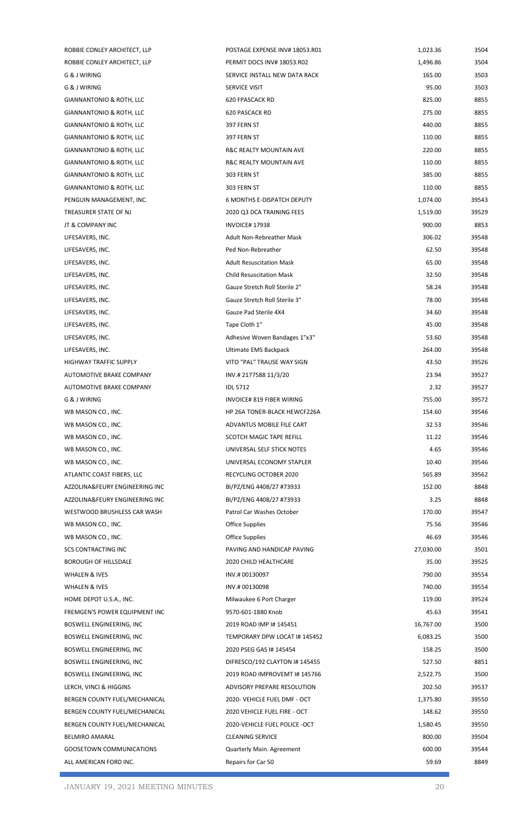| ROBBIE CONLEY ARCHITECT, LLP    | POSTAGE EXPENSE INV# 18053.R01    | 1,023.36  | 3504  |
|---------------------------------|-----------------------------------|-----------|-------|
| ROBBIE CONLEY ARCHITECT, LLP    | PERMIT DOCS INV# 18053.R02        | 1,496.86  | 3504  |
| G & J WIRING                    | SERVICE INSTALL NEW DATA RACK     | 165.00    | 3503  |
| G & J WIRING                    | SERVICE VISIT                     | 95.00     | 3503  |
| GIANNANTONIO & ROTH, LLC        | <b>620 FPASCACK RD</b>            | 825.00    | 8855  |
| GIANNANTONIO & ROTH, LLC        | 620 PASCACK RD                    | 275.00    | 8855  |
| GIANNANTONIO & ROTH, LLC        | 397 FERN ST                       | 440.00    | 8855  |
| GIANNANTONIO & ROTH, LLC        | 397 FERN ST                       | 110.00    | 8855  |
| GIANNANTONIO & ROTH, LLC        | R&C REALTY MOUNTAIN AVE           | 220.00    | 8855  |
| GIANNANTONIO & ROTH, LLC        | R&C REALTY MOUNTAIN AVE           | 110.00    | 8855  |
| GIANNANTONIO & ROTH, LLC        | 303 FERN ST                       | 385.00    | 8855  |
| GIANNANTONIO & ROTH, LLC        | 303 FERN ST                       | 110.00    | 8855  |
| PENGUIN MANAGEMENT, INC.        | <b>6 MONTHS E-DISPATCH DEPUTY</b> | 1,074.00  | 39543 |
| TREASURER STATE OF NJ           | 2020 Q3 DCA TRAINING FEES         | 1,519.00  | 39529 |
| JT & COMPANY INC                | <b>INVOICE#17938</b>              | 900.00    | 8853  |
| LIFESAVERS, INC.                | Adult Non-Rebreather Mask         | 306.02    | 39548 |
| LIFESAVERS, INC.                | Ped Non-Rebreather                | 62.50     | 39548 |
| LIFESAVERS, INC.                | <b>Adult Resuscitation Mask</b>   | 65.00     | 39548 |
| LIFESAVERS, INC.                | <b>Child Resuscitation Mask</b>   | 32.50     | 39548 |
| LIFESAVERS, INC.                | Gauze Stretch Roll Sterile 2"     | 58.24     | 39548 |
| LIFESAVERS, INC.                | Gauze Stretch Roll Sterile 3"     | 78.00     | 39548 |
| LIFESAVERS, INC.                | Gauze Pad Sterile 4X4             | 34.60     | 39548 |
| LIFESAVERS, INC.                | Tape Cloth 1"                     | 45.00     | 39548 |
| LIFESAVERS, INC.                | Adhesive Woven Bandages 1"x3"     | 53.60     | 39548 |
| LIFESAVERS, INC.                | Ultimate EMS Backpack             | 264.00    | 39548 |
| <b>HIGHWAY TRAFFIC SUPPLY</b>   | VITO "PAL" TRAUSE WAY SIGN        | 43.50     | 39526 |
| AUTOMOTIVE BRAKE COMPANY        | INV.#2177588 11/3/20              | 23.94     | 39527 |
| AUTOMOTIVE BRAKE COMPANY        | <b>IDL 5712</b>                   | 2.32      | 39527 |
| G & J WIRING                    | INVOICE# 819 FIBER WIRING         | 755.00    | 39572 |
| WB MASON CO., INC.              | HP 26A TONER-BLACK HEWCF226A      | 154.60    | 39546 |
| WB MASON CO., INC.              | ADVANTUS MOBILE FILE CART         | 32.53     | 39546 |
| WB MASON CO., INC.              | SCOTCH MAGIC TAPE REFILL          | 11.22     | 39546 |
| WB MASON CO., INC.              | UNIVERSAL SELF STICK NOTES        | 4.65      | 39546 |
| WB MASON CO., INC.              | UNIVERSAL ECONOMY STAPLER         | 10.40     | 39546 |
| ATLANTIC COAST FIBERS, LLC      | RECYCLING OCTOBER 2020            | 565.89    | 39562 |
| AZZOLINA&FEURY ENGINEERING INC  | BI/PZ/ENG 4408/27 #73933          | 152.00    | 8848  |
| AZZOLINA&FEURY ENGINEERING INC  | BI/PZ/ENG 4408/27 #73933          | 3.25      | 8848  |
| WESTWOOD BRUSHLESS CAR WASH     | Patrol Car Washes October         | 170.00    | 39547 |
| WB MASON CO., INC.              | Office Supplies                   | 75.56     | 39546 |
| WB MASON CO., INC.              | Office Supplies                   | 46.69     | 39546 |
| <b>SCS CONTRACTING INC</b>      | PAVING AND HANDICAP PAVING        | 27,030.00 | 3501  |
| <b>BOROUGH OF HILLSDALE</b>     | 2020 CHILD HEALTHCARE             | 35.00     | 39525 |
| WHALEN & IVES                   | INV.#00130097                     | 790.00    | 39554 |
| WHALEN & IVES                   | INV.# 00130098                    | 740.00    | 39554 |
| HOME DEPOT U.S.A., INC.         | Milwaukee 6 Port Charger          | 119.00    | 39524 |
| FREMGEN'S POWER EQUIPMENT INC   | 9570-601-1880 Knob                | 45.63     | 39541 |
| BOSWELL ENGINEERING, INC        | 2019 ROAD IMP I# 145451           | 16,767.00 | 3500  |
| BOSWELL ENGINEERING, INC        | TEMPORARY DPW LOCAT I# 145452     | 6,083.25  | 3500  |
| BOSWELL ENGINEERING, INC        | 2020 PSEG GAS I# 145454           | 158.25    | 3500  |
| BOSWELL ENGINEERING, INC        | DIFRESCO/192 CLAYTON I# 145455    | 527.50    | 8851  |
| BOSWELL ENGINEERING, INC        | 2019 ROAD IMPROVEMT I# 145766     | 2,522.75  | 3500  |
| LERCH, VINCI & HIGGINS          | ADVISORY PREPARE RESOLUTION       | 202.50    | 39537 |
| BERGEN COUNTY FUEL/MECHANICAL   | 2020- VEHICLE FUEL DMF - OCT      | 1,375.80  | 39550 |
| BERGEN COUNTY FUEL/MECHANICAL   | 2020 VEHICLE FUEL FIRE - OCT      | 148.62    | 39550 |
| BERGEN COUNTY FUEL/MECHANICAL   | 2020-VEHICLE FUEL POLICE -OCT     | 1,580.45  | 39550 |
| <b>BELMIRO AMARAL</b>           | <b>CLEANING SERVICE</b>           | 800.00    | 39504 |
| <b>GOOSETOWN COMMUNICATIONS</b> |                                   | 600.00    | 39544 |
| ALL AMERICAN FORD INC.          | Quarterly Main. Agreement         |           | 8849  |
|                                 | Repairs for Car 50                | 59.69     |       |

F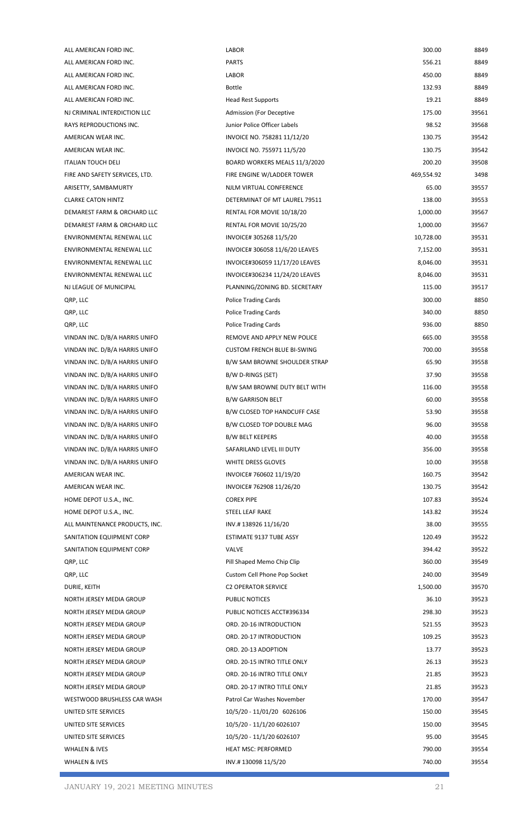| ALL AMERICAN FORD INC.                                           | <b>LABOR</b>                        | 300.00          | 8849  |
|------------------------------------------------------------------|-------------------------------------|-----------------|-------|
| ALL AMERICAN FORD INC.                                           | <b>PARTS</b>                        | 556.21          | 8849  |
| ALL AMERICAN FORD INC.                                           | <b>LABOR</b>                        | 450.00          | 8849  |
| ALL AMERICAN FORD INC.                                           | <b>Bottle</b>                       | 132.93          | 8849  |
| ALL AMERICAN FORD INC.                                           | <b>Head Rest Supports</b>           | 19.21           | 8849  |
| NJ CRIMINAL INTERDICTION LLC                                     | <b>Admission (For Deceptive</b>     | 175.00          | 39561 |
| RAYS REPRODUCTIONS INC.                                          | Junior Police Officer Labels        | 98.52           | 39568 |
| AMERICAN WEAR INC.                                               | INVOICE NO. 758281 11/12/20         | 130.75          | 39542 |
| AMERICAN WEAR INC.                                               | INVOICE NO. 755971 11/5/20          | 130.75          | 39542 |
| <b>ITALIAN TOUCH DELI</b>                                        | BOARD WORKERS MEALS 11/3/2020       | 200.20          | 39508 |
| FIRE AND SAFETY SERVICES, LTD.                                   | FIRE ENGINE W/LADDER TOWER          | 469,554.92      | 3498  |
| ARISETTY, SAMBAMURTY                                             | NJLM VIRTUAL CONFERENCE             | 65.00           | 39557 |
| <b>CLARKE CATON HINTZ</b>                                        | DETERMINAT OF MT LAUREL 79511       | 138.00          | 39553 |
| DEMAREST FARM & ORCHARD LLC                                      | RENTAL FOR MOVIE 10/18/20           | 1,000.00        | 39567 |
| DEMAREST FARM & ORCHARD LLC                                      | RENTAL FOR MOVIE 10/25/20           | 1,000.00        | 39567 |
| ENVIRONMENTAL RENEWAL LLC                                        | INVOICE# 305268 11/5/20             | 10,728.00       | 39531 |
| ENVIRONMENTAL RENEWAL LLC                                        | INVOICE# 306058 11/6/20 LEAVES      | 7,152.00        | 39531 |
| ENVIRONMENTAL RENEWAL LLC                                        | INVOICE#306059 11/17/20 LEAVES      | 8,046.00        | 39531 |
| ENVIRONMENTAL RENEWAL LLC                                        | INVOICE#306234 11/24/20 LEAVES      | 8,046.00        | 39531 |
| NJ LEAGUE OF MUNICIPAL                                           | PLANNING/ZONING BD. SECRETARY       | 115.00          | 39517 |
| QRP, LLC                                                         | <b>Police Trading Cards</b>         | 300.00          | 8850  |
| QRP, LLC                                                         | <b>Police Trading Cards</b>         | 340.00          | 8850  |
| QRP, LLC                                                         | <b>Police Trading Cards</b>         | 936.00          | 8850  |
| VINDAN INC. D/B/A HARRIS UNIFO                                   | REMOVE AND APPLY NEW POLICE         | 665.00          | 39558 |
| VINDAN INC. D/B/A HARRIS UNIFO                                   | <b>CUSTOM FRENCH BLUE BI-SWING</b>  | 700.00          | 39558 |
|                                                                  |                                     |                 | 39558 |
| VINDAN INC. D/B/A HARRIS UNIFO<br>VINDAN INC. D/B/A HARRIS UNIFO | B/W SAM BROWNE SHOULDER STRAP       | 65.90           |       |
|                                                                  | B/W D-RINGS (SET)                   | 37.90<br>116.00 | 39558 |
| VINDAN INC. D/B/A HARRIS UNIFO                                   | B/W SAM BROWNE DUTY BELT WITH       |                 | 39558 |
| VINDAN INC. D/B/A HARRIS UNIFO                                   | <b>B/W GARRISON BELT</b>            | 60.00           | 39558 |
| VINDAN INC. D/B/A HARRIS UNIFO                                   | <b>B/W CLOSED TOP HANDCUFF CASE</b> | 53.90           | 39558 |
| VINDAN INC. D/B/A HARRIS UNIFO                                   | B/W CLOSED TOP DOUBLE MAG           | 96.00           | 39558 |
| VINDAN INC. D/B/A HARRIS UNIFO                                   | <b>B/W BELT KEEPERS</b>             | 40.00           | 39558 |
| VINDAN INC. D/B/A HARRIS UNIFO                                   | SAFARILAND LEVEL III DUTY           | 356.00          | 39558 |
| VINDAN INC. D/B/A HARRIS UNIFO                                   | WHITE DRESS GLOVES                  | 10.00           | 39558 |
| AMERICAN WEAR INC.                                               | INVOICE# 760602 11/19/20            | 160.75          | 39542 |
| AMERICAN WEAR INC.                                               | INVOICE# 762908 11/26/20            | 130.75          | 39542 |
| HOME DEPOT U.S.A., INC.                                          | <b>COREX PIPE</b>                   | 107.83          | 39524 |
| HOME DEPOT U.S.A., INC.                                          | STEEL LEAF RAKE                     | 143.82          | 39524 |
| ALL MAINTENANCE PRODUCTS, INC.                                   | INV.#13892611/16/20                 | 38.00           | 39555 |
| SANITATION EQUIPMENT CORP                                        | ESTIMATE 9137 TUBE ASSY             | 120.49          | 39522 |
| SANITATION EQUIPMENT CORP                                        | VALVE                               | 394.42          | 39522 |
| QRP, LLC                                                         | Pill Shaped Memo Chip Clip          | 360.00          | 39549 |
| QRP, LLC                                                         | Custom Cell Phone Pop Socket        | 240.00          | 39549 |
| DURIE, KEITH                                                     | <b>C2 OPERATOR SERVICE</b>          | 1,500.00        | 39570 |
| NORTH JERSEY MEDIA GROUP                                         | PUBLIC NOTICES                      | 36.10           | 39523 |
| NORTH JERSEY MEDIA GROUP                                         | PUBLIC NOTICES ACCT#396334          | 298.30          | 39523 |
| NORTH JERSEY MEDIA GROUP                                         | ORD. 20-16 INTRODUCTION             | 521.55          | 39523 |
| NORTH JERSEY MEDIA GROUP                                         | ORD. 20-17 INTRODUCTION             | 109.25          | 39523 |
| NORTH JERSEY MEDIA GROUP                                         | ORD. 20-13 ADOPTION                 | 13.77           | 39523 |
| NORTH JERSEY MEDIA GROUP                                         | ORD. 20-15 INTRO TITLE ONLY         | 26.13           | 39523 |
| NORTH JERSEY MEDIA GROUP                                         | ORD. 20-16 INTRO TITLE ONLY         | 21.85           | 39523 |
| NORTH JERSEY MEDIA GROUP                                         | ORD. 20-17 INTRO TITLE ONLY         | 21.85           | 39523 |
| WESTWOOD BRUSHLESS CAR WASH                                      | Patrol Car Washes November          | 170.00          | 39547 |
| UNITED SITE SERVICES                                             | 10/5/20 - 11/01/20 6026106          | 150.00          | 39545 |
| UNITED SITE SERVICES                                             | 10/5/20 - 11/1/20 6026107           | 150.00          | 39545 |
| UNITED SITE SERVICES                                             | 10/5/20 - 11/1/20 6026107           | 95.00           | 39545 |
| WHALEN & IVES                                                    | <b>HEAT MSC: PERFORMED</b>          | 790.00          | 39554 |
| WHALEN & IVES                                                    | INV.#13009811/5/20                  | 740.00          | 39554 |
|                                                                  |                                     |                 |       |

г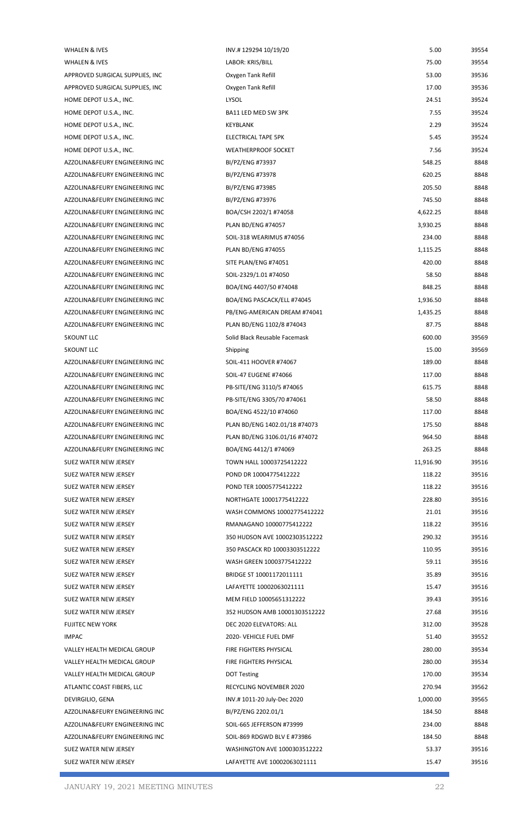| <b>WHALEN &amp; IVES</b>         | INV.#12929410/19/20           | 5.00      | 39554 |
|----------------------------------|-------------------------------|-----------|-------|
| WHALEN & IVES                    | LABOR: KRIS/BILL              | 75.00     | 39554 |
| APPROVED SURGICAL SUPPLIES, INC  | Oxygen Tank Refill            | 53.00     | 39536 |
| APPROVED SURGICAL SUPPLIES, INC. | Oxygen Tank Refill            | 17.00     | 39536 |
| HOME DEPOT U.S.A., INC.          | LYSOL                         | 24.51     | 39524 |
| HOME DEPOT U.S.A., INC.          | BA11 LED MED SW 3PK           | 7.55      | 39524 |
| HOME DEPOT U.S.A., INC.          | KEYBLANK                      | 2.29      | 39524 |
| HOME DEPOT U.S.A., INC.          | ELECTRICAL TAPE 5PK           | 5.45      | 39524 |
| HOME DEPOT U.S.A., INC.          | <b>WEATHERPROOF SOCKET</b>    | 7.56      | 39524 |
| AZZOLINA&FEURY ENGINEERING INC   | BI/PZ/ENG #73937              | 548.25    | 8848  |
| AZZOLINA&FEURY ENGINEERING INC   | BI/PZ/ENG #73978              | 620.25    | 8848  |
| AZZOLINA&FEURY ENGINEERING INC   | BI/PZ/ENG #73985              | 205.50    | 8848  |
| AZZOLINA&FEURY ENGINEERING INC   | BI/PZ/ENG #73976              | 745.50    | 8848  |
| AZZOLINA&FEURY ENGINEERING INC   | BOA/CSH 2202/1 #74058         | 4,622.25  | 8848  |
| AZZOLINA&FEURY ENGINEERING INC   | <b>PLAN BD/ENG #74057</b>     | 3,930.25  | 8848  |
| AZZOLINA&FEURY ENGINEERING INC   | SOIL-318 WEARIMUS #74056      | 234.00    | 8848  |
| AZZOLINA&FEURY ENGINEERING INC   | <b>PLAN BD/ENG #74055</b>     | 1,115.25  | 8848  |
| AZZOLINA&FEURY ENGINEERING INC   | SITE PLAN/ENG #74051          | 420.00    | 8848  |
| AZZOLINA&FEURY ENGINEERING INC   | SOIL-2329/1.01 #74050         | 58.50     | 8848  |
| AZZOLINA&FEURY ENGINEERING INC   | BOA/ENG 4407/50 #74048        | 848.25    | 8848  |
| AZZOLINA&FEURY ENGINEERING INC   | BOA/ENG PASCACK/ELL #74045    | 1,936.50  | 8848  |
| AZZOLINA&FEURY ENGINEERING INC   | PB/ENG-AMERICAN DREAM #74041  | 1,435.25  | 8848  |
| AZZOLINA&FEURY ENGINEERING INC   | PLAN BD/ENG 1102/8 #74043     | 87.75     | 8848  |
| <b>5KOUNT LLC</b>                | Solid Black Reusable Facemask | 600.00    | 39569 |
|                                  |                               |           |       |
| <b>5KOUNT LLC</b>                | Shipping                      | 15.00     | 39569 |
| AZZOLINA&FEURY ENGINEERING INC   | SOIL-411 HOOVER #74067        | 189.00    | 8848  |
| AZZOLINA&FEURY ENGINEERING INC   | SOIL-47 EUGENE #74066         | 117.00    | 8848  |
| AZZOLINA&FEURY ENGINEERING INC   | PB-SITE/ENG 3110/5 #74065     | 615.75    | 8848  |
| AZZOLINA&FEURY ENGINEERING INC   | PB-SITE/ENG 3305/70 #74061    | 58.50     | 8848  |
| AZZOLINA&FEURY ENGINEERING INC   | BOA/ENG 4522/10 #74060        | 117.00    | 8848  |
| AZZOLINA&FEURY ENGINEERING INC   | PLAN BD/ENG 1402.01/18 #74073 | 175.50    | 8848  |
| AZZOLINA&FEURY ENGINEERING INC   | PLAN BD/ENG 3106.01/16 #74072 | 964.50    | 8848  |
| AZZOLINA&FEURY ENGINEERING INC   | BOA/ENG 4412/1 #74069         | 263.25    | 8848  |
| SUEZ WATER NEW JERSEY            | TOWN HALL 10003725412222      | 11,916.90 | 39516 |
| SUEZ WATER NEW JERSEY            | POND DR 10004775412222        | 118.22    | 39516 |
| SUEZ WATER NEW JERSEY            | POND TER 10005775412222       | 118.22    | 39516 |
| SUEZ WATER NEW JERSEY            | NORTHGATE 10001775412222      | 228.80    | 39516 |
| SUEZ WATER NEW JERSEY            | WASH COMMONS 10002775412222   | 21.01     | 39516 |
| SUEZ WATER NEW JERSEY            | RMANAGANO 10000775412222      | 118.22    | 39516 |
| SUEZ WATER NEW JERSEY            | 350 HUDSON AVE 10002303512222 | 290.32    | 39516 |
| SUEZ WATER NEW JERSEY            | 350 PASCACK RD 10003303512222 | 110.95    | 39516 |
| SUEZ WATER NEW JERSEY            | WASH GREEN 10003775412222     | 59.11     | 39516 |
| SUEZ WATER NEW JERSEY            | BRIDGE ST 10001172011111      | 35.89     | 39516 |
| SUEZ WATER NEW JERSEY            | LAFAYETTE 10002063021111      | 15.47     | 39516 |
| SUEZ WATER NEW JERSEY            | MEM FIELD 10005651312222      | 39.43     | 39516 |
| SUEZ WATER NEW JERSEY            | 352 HUDSON AMB 10001303512222 | 27.68     | 39516 |
| <b>FUJITEC NEW YORK</b>          | DEC 2020 ELEVATORS: ALL       | 312.00    | 39528 |
| <b>IMPAC</b>                     | 2020- VEHICLE FUEL DMF        | 51.40     | 39552 |
| VALLEY HEALTH MEDICAL GROUP      | FIRE FIGHTERS PHYSICAL        | 280.00    | 39534 |
| VALLEY HEALTH MEDICAL GROUP      | FIRE FIGHTERS PHYSICAL        | 280.00    | 39534 |
| VALLEY HEALTH MEDICAL GROUP      | <b>DOT Testing</b>            | 170.00    | 39534 |
| ATLANTIC COAST FIBERS, LLC       | RECYCLING NOVEMBER 2020       | 270.94    | 39562 |
| DEVIRGILIO, GENA                 | INV.#1011-20 July-Dec 2020    | 1,000.00  | 39565 |
| AZZOLINA&FEURY ENGINEERING INC   | BI/PZ/ENG 2202.01/1           | 184.50    | 8848  |
| AZZOLINA&FEURY ENGINEERING INC   | SOIL-665 JEFFERSON #73999     | 234.00    | 8848  |
| AZZOLINA&FEURY ENGINEERING INC   | SOIL-869 RDGWD BLV E #73986   | 184.50    | 8848  |
| SUEZ WATER NEW JERSEY            | WASHINGTON AVE 1000303512222  | 53.37     | 39516 |
| SUEZ WATER NEW JERSEY            | LAFAYETTE AVE 10002063021111  | 15.47     | 39516 |
|                                  |                               |           |       |

r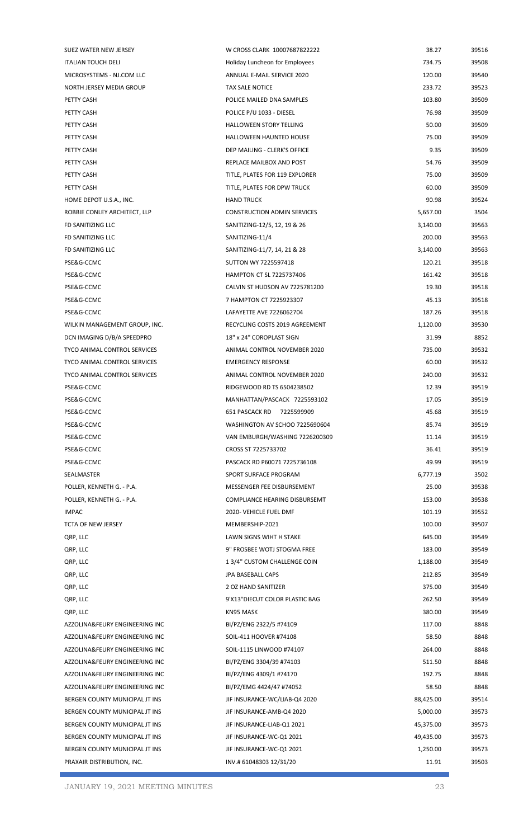| SUEZ WATER NEW JERSEY               | W CROSS CLARK 10007687822222       | 38.27     | 39516 |
|-------------------------------------|------------------------------------|-----------|-------|
| <b>ITALIAN TOUCH DELI</b>           | Holiday Luncheon for Employees     | 734.75    | 39508 |
| MICROSYSTEMS - NJ.COM LLC           | ANNUAL E-MAIL SERVICE 2020         | 120.00    | 39540 |
| NORTH JERSEY MEDIA GROUP            | <b>TAX SALE NOTICE</b>             | 233.72    | 39523 |
| PETTY CASH                          | POLICE MAILED DNA SAMPLES          | 103.80    | 39509 |
| PETTY CASH                          | POLICE P/U 1033 - DIESEL           | 76.98     | 39509 |
| PETTY CASH                          | <b>HALLOWEEN STORY TELLING</b>     | 50.00     | 39509 |
| PETTY CASH                          | HALLOWEEN HAUNTED HOUSE            | 75.00     | 39509 |
| PETTY CASH                          | DEP MAILING - CLERK'S OFFICE       | 9.35      | 39509 |
| PETTY CASH                          | REPLACE MAILBOX AND POST           | 54.76     | 39509 |
| PETTY CASH                          | TITLE, PLATES FOR 119 EXPLORER     | 75.00     | 39509 |
| PETTY CASH                          | TITLE, PLATES FOR DPW TRUCK        | 60.00     | 39509 |
| HOME DEPOT U.S.A., INC.             | <b>HAND TRUCK</b>                  | 90.98     | 39524 |
| ROBBIE CONLEY ARCHITECT, LLP        | <b>CONSTRUCTION ADMIN SERVICES</b> | 5,657.00  | 3504  |
| FD SANITIZING LLC                   | SANITIZING-12/5, 12, 19 & 26       | 3,140.00  | 39563 |
| FD SANITIZING LLC                   | SANITIZING-11/4                    | 200.00    | 39563 |
| FD SANITIZING LLC                   | SANITIZING-11/7, 14, 21 & 28       | 3,140.00  | 39563 |
| PSE&G-CCMC                          | SUTTON WY 7225597418               | 120.21    | 39518 |
| PSE&G-CCMC                          | <b>HAMPTON CT SL 7225737406</b>    | 161.42    | 39518 |
| PSE&G-CCMC                          | CALVIN ST HUDSON AV 7225781200     | 19.30     | 39518 |
| PSE&G-CCMC                          | 7 HAMPTON CT 7225923307            | 45.13     | 39518 |
| PSE&G-CCMC                          | LAFAYETTE AVE 7226062704           | 187.26    | 39518 |
| WILKIN MANAGEMENT GROUP, INC.       | RECYCLING COSTS 2019 AGREEMENT     | 1,120.00  | 39530 |
| DCN IMAGING D/B/A SPEEDPRO          | 18" x 24" COROPLAST SIGN           | 31.99     | 8852  |
| <b>TYCO ANIMAL CONTROL SERVICES</b> | ANIMAL CONTROL NOVEMBER 2020       | 735.00    | 39532 |
| TYCO ANIMAL CONTROL SERVICES        | <b>EMERGENCY RESPONSE</b>          | 60.00     | 39532 |
| <b>TYCO ANIMAL CONTROL SERVICES</b> | ANIMAL CONTROL NOVEMBER 2020       | 240.00    | 39532 |
| PSE&G-CCMC                          | RIDGEWOOD RD TS 6504238502         | 12.39     | 39519 |
| PSE&G-CCMC                          | MANHATTAN/PASCACK 7225593102       | 17.05     | 39519 |
| PSE&G-CCMC                          | 651 PASCACK RD<br>7225599909       | 45.68     | 39519 |
| PSE&G-CCMC                          | WASHINGTON AV SCHOO 7225690604     | 85.74     | 39519 |
| PSE&G-CCMC                          | VAN EMBURGH/WASHING 7226200309     | 11.14     | 39519 |
| PSE&G-CCMC                          | CROSS ST 7225733702                | 36.41     | 39519 |
| PSE&G-CCMC                          | PASCACK RD P60071 7225736108       | 49.99     | 39519 |
| SEALMASTER                          | SPORT SURFACE PROGRAM              | 6,777.19  | 3502  |
| POLLER, KENNETH G. - P.A.           | MESSENGER FEE DISBURSEMENT         | 25.00     | 39538 |
| POLLER, KENNETH G. - P.A.           | COMPLIANCE HEARING DISBURSEMT      | 153.00    | 39538 |
| <b>IMPAC</b>                        | 2020- VEHICLE FUEL DMF             | 101.19    | 39552 |
| TCTA OF NEW JERSEY                  | MEMBERSHIP-2021                    | 100.00    | 39507 |
| QRP, LLC                            | LAWN SIGNS WIHT H STAKE            | 645.00    | 39549 |
| QRP, LLC                            | 9" FROSBEE WOTJ STOGMA FREE        | 183.00    | 39549 |
| QRP, LLC                            | 13/4" CUSTOM CHALLENGE COIN        | 1,188.00  | 39549 |
| QRP, LLC                            | JPA BASEBALL CAPS                  | 212.85    | 39549 |
| QRP, LLC                            | 2 OZ HAND SANITIZER                | 375.00    | 39549 |
| QRP, LLC                            | 9'X13" DIECUT COLOR PLASTIC BAG    | 262.50    | 39549 |
| QRP, LLC                            | KN95 MASK                          | 380.00    | 39549 |
| AZZOLINA&FEURY ENGINEERING INC      | BI/PZ/ENG 2322/5 #74109            | 117.00    | 8848  |
| AZZOLINA&FEURY ENGINEERING INC      | SOIL-411 HOOVER #74108             | 58.50     | 8848  |
| AZZOLINA&FEURY ENGINEERING INC      | SOIL-1115 LINWOOD #74107           | 264.00    | 8848  |
| AZZOLINA&FEURY ENGINEERING INC      | BI/PZ/ENG 3304/39 #74103           | 511.50    | 8848  |
| AZZOLINA&FEURY ENGINEERING INC      | BI/PZ/ENG 4309/1 #74170            | 192.75    | 8848  |
| AZZOLINA&FEURY ENGINEERING INC      | BI/PZ/EMG 4424/47 #74052           | 58.50     | 8848  |
| BERGEN COUNTY MUNICIPAL JT INS      | JIF INSURANCE-WC/LIAB-Q4 2020      | 88,425.00 | 39514 |
| BERGEN COUNTY MUNICIPAL JT INS      | JIF INSURANCE-AMB-Q4 2020          | 5,000.00  | 39573 |
| BERGEN COUNTY MUNICIPAL JT INS      | JIF INSURANCE-LIAB-Q1 2021         | 45,375.00 | 39573 |
| BERGEN COUNTY MUNICIPAL JT INS      | JIF INSURANCE-WC-Q1 2021           | 49,435.00 | 39573 |
| BERGEN COUNTY MUNICIPAL JT INS      | JIF INSURANCE-WC-Q1 2021           | 1,250.00  | 39573 |
| PRAXAIR DISTRIBUTION, INC.          | INV.# 61048303 12/31/20            | 11.91     | 39503 |
|                                     |                                    |           |       |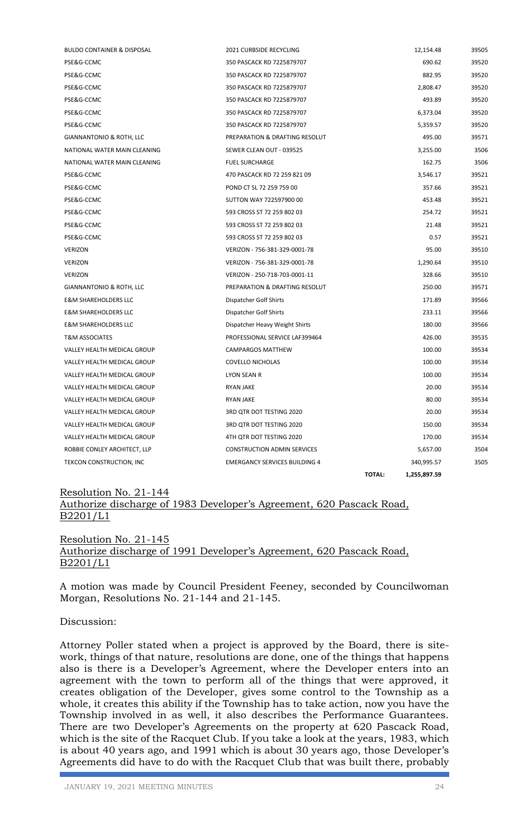| <b>BULDO CONTAINER &amp; DISPOSAL</b> | 2021 CURBSIDE RECYCLING              |               | 12,154.48    | 39505 |
|---------------------------------------|--------------------------------------|---------------|--------------|-------|
| PSE&G-CCMC                            | 350 PASCACK RD 7225879707            |               | 690.62       | 39520 |
| PSE&G-CCMC                            | 350 PASCACK RD 7225879707            |               | 882.95       | 39520 |
| PSE&G-CCMC                            | 350 PASCACK RD 7225879707            |               | 2,808.47     | 39520 |
| PSE&G-CCMC                            | 350 PASCACK RD 7225879707            |               | 493.89       | 39520 |
| PSE&G-CCMC                            | 350 PASCACK RD 7225879707            |               | 6,373.04     | 39520 |
| PSE&G-CCMC                            | 350 PASCACK RD 7225879707            |               | 5,359.57     | 39520 |
| <b>GIANNANTONIO &amp; ROTH, LLC</b>   | PREPARATION & DRAFTING RESOLUT       |               | 495.00       | 39571 |
| NATIONAL WATER MAIN CLEANING          | SEWER CLEAN OUT - 039525             |               | 3,255.00     | 3506  |
| NATIONAL WATER MAIN CLEANING          | <b>FUEL SURCHARGE</b>                |               | 162.75       | 3506  |
| PSE&G-CCMC                            | 470 PASCACK RD 72 259 821 09         |               | 3,546.17     | 39521 |
| PSE&G-CCMC                            | POND CT SL 72 259 759 00             |               | 357.66       | 39521 |
| PSE&G-CCMC                            | SUTTON WAY 722597900 00              |               | 453.48       | 39521 |
| PSE&G-CCMC                            | 593 CROSS ST 72 259 802 03           |               | 254.72       | 39521 |
| PSE&G-CCMC                            | 593 CROSS ST 72 259 802 03           |               | 21.48        | 39521 |
| PSE&G-CCMC                            | 593 CROSS ST 72 259 802 03           |               | 0.57         | 39521 |
| <b>VERIZON</b>                        | VERIZON - 756-381-329-0001-78        |               | 95.00        | 39510 |
| <b>VERIZON</b>                        | VERIZON - 756-381-329-0001-78        |               | 1,290.64     | 39510 |
| <b>VERIZON</b>                        | VERIZON - 250-718-703-0001-11        |               | 328.66       | 39510 |
| GIANNANTONIO & ROTH, LLC              | PREPARATION & DRAFTING RESOLUT       |               | 250.00       | 39571 |
| <b>E&amp;M SHAREHOLDERS LLC</b>       | Dispatcher Golf Shirts               |               | 171.89       | 39566 |
| <b>E&amp;M SHAREHOLDERS LLC</b>       | Dispatcher Golf Shirts               |               | 233.11       | 39566 |
| <b>E&amp;M SHAREHOLDERS LLC</b>       | Dispatcher Heavy Weight Shirts       |               | 180.00       | 39566 |
| <b>T&amp;M ASSOCIATES</b>             | PROFESSIONAL SERVICE LAF399464       |               | 426.00       | 39535 |
| VALLEY HEALTH MEDICAL GROUP           | <b>CAMPARGOS MATTHEW</b>             |               | 100.00       | 39534 |
| VALLEY HEALTH MEDICAL GROUP           | <b>COVELLO NICHOLAS</b>              |               | 100.00       | 39534 |
| VALLEY HEALTH MEDICAL GROUP           | LYON SEAN R                          |               | 100.00       | 39534 |
| VALLEY HEALTH MEDICAL GROUP           | <b>RYAN JAKE</b>                     |               | 20.00        | 39534 |
| VALLEY HEALTH MEDICAL GROUP           | <b>RYAN JAKE</b>                     |               | 80.00        | 39534 |
| VALLEY HEALTH MEDICAL GROUP           | 3RD QTR DOT TESTING 2020             |               | 20.00        | 39534 |
| VALLEY HEALTH MEDICAL GROUP           | 3RD QTR DOT TESTING 2020             |               | 150.00       | 39534 |
| VALLEY HEALTH MEDICAL GROUP           | 4TH QTR DOT TESTING 2020             |               | 170.00       | 39534 |
| ROBBIE CONLEY ARCHITECT, LLP          | <b>CONSTRUCTION ADMIN SERVICES</b>   |               | 5,657.00     | 3504  |
| TEKCON CONSTRUCTION, INC              | <b>EMERGANCY SERVICES BUILDING 4</b> |               | 340,995.57   | 3505  |
|                                       |                                      | <b>TOTAL:</b> | 1,255,897.59 |       |

## Resolution No. 21-144 Authorize discharge of 1983 Developer's Agreement, 620 Pascack Road, B2201/L1

Resolution No. 21-145 Authorize discharge of 1991 Developer's Agreement, 620 Pascack Road, B2201/L1

A motion was made by Council President Feeney, seconded by Councilwoman Morgan, Resolutions No. 21-144 and 21-145.

Discussion:

Attorney Poller stated when a project is approved by the Board, there is sitework, things of that nature, resolutions are done, one of the things that happens also is there is a Developer's Agreement, where the Developer enters into an agreement with the town to perform all of the things that were approved, it creates obligation of the Developer, gives some control to the Township as a whole, it creates this ability if the Township has to take action, now you have the Township involved in as well, it also describes the Performance Guarantees. There are two Developer's Agreements on the property at 620 Pascack Road, which is the site of the Racquet Club. If you take a look at the years, 1983, which is about 40 years ago, and 1991 which is about 30 years ago, those Developer's Agreements did have to do with the Racquet Club that was built there, probably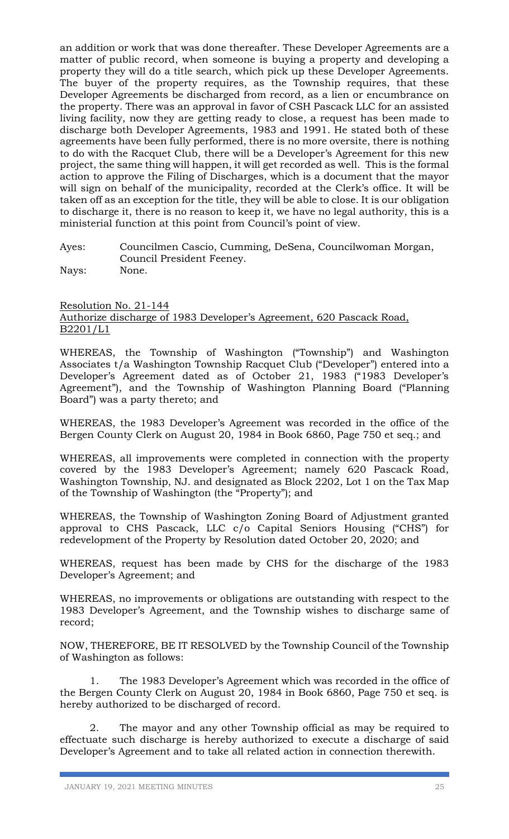an addition or work that was done thereafter. These Developer Agreements are a matter of public record, when someone is buying a property and developing a property they will do a title search, which pick up these Developer Agreements. The buyer of the property requires, as the Township requires, that these Developer Agreements be discharged from record, as a lien or encumbrance on the property. There was an approval in favor of CSH Pascack LLC for an assisted living facility, now they are getting ready to close, a request has been made to discharge both Developer Agreements, 1983 and 1991. He stated both of these agreements have been fully performed, there is no more oversite, there is nothing to do with the Racquet Club, there will be a Developer's Agreement for this new project, the same thing will happen, it will get recorded as well. This is the formal action to approve the Filing of Discharges, which is a document that the mayor will sign on behalf of the municipality, recorded at the Clerk's office. It will be taken off as an exception for the title, they will be able to close. It is our obligation to discharge it, there is no reason to keep it, we have no legal authority, this is a ministerial function at this point from Council's point of view.

Ayes: Councilmen Cascio, Cumming, DeSena, Councilwoman Morgan, Council President Feeney. Nays: None.

Resolution No. 21-144 Authorize discharge of 1983 Developer's Agreement, 620 Pascack Road, B2201/L1

WHEREAS, the Township of Washington ("Township") and Washington Associates t/a Washington Township Racquet Club ("Developer") entered into a Developer's Agreement dated as of October 21, 1983 ("1983 Developer's Agreement"), and the Township of Washington Planning Board ("Planning Board") was a party thereto; and

WHEREAS, the 1983 Developer's Agreement was recorded in the office of the Bergen County Clerk on August 20, 1984 in Book 6860, Page 750 et seq.; and

WHEREAS, all improvements were completed in connection with the property covered by the 1983 Developer's Agreement; namely 620 Pascack Road, Washington Township, NJ. and designated as Block 2202, Lot 1 on the Tax Map of the Township of Washington (the "Property"); and

WHEREAS, the Township of Washington Zoning Board of Adjustment granted approval to CHS Pascack, LLC c/o Capital Seniors Housing ("CHS") for redevelopment of the Property by Resolution dated October 20, 2020; and

WHEREAS, request has been made by CHS for the discharge of the 1983 Developer's Agreement; and

WHEREAS, no improvements or obligations are outstanding with respect to the 1983 Developer's Agreement, and the Township wishes to discharge same of record;

NOW, THEREFORE, BE IT RESOLVED by the Township Council of the Township of Washington as follows:

1. The 1983 Developer's Agreement which was recorded in the office of the Bergen County Clerk on August 20, 1984 in Book 6860, Page 750 et seq. is hereby authorized to be discharged of record.

2. The mayor and any other Township official as may be required to effectuate such discharge is hereby authorized to execute a discharge of said Developer's Agreement and to take all related action in connection therewith.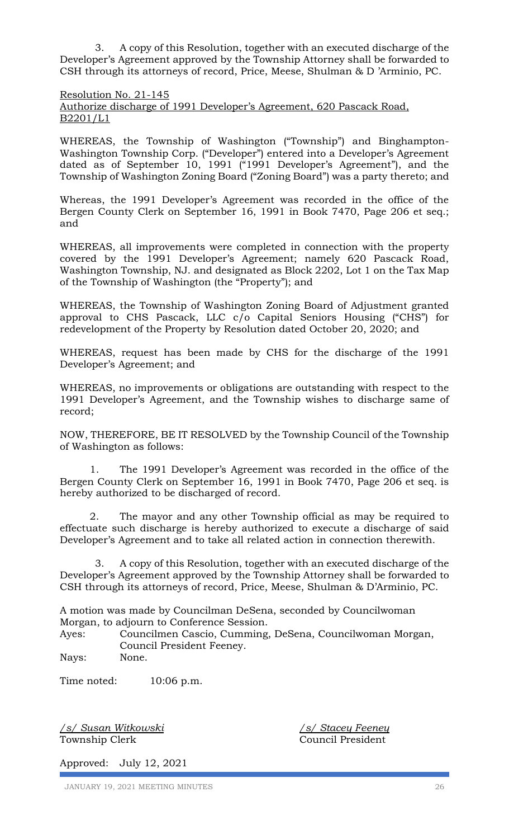3. A copy of this Resolution, together with an executed discharge of the Developer's Agreement approved by the Township Attorney shall be forwarded to CSH through its attorneys of record, Price, Meese, Shulman & D 'Arminio, PC.

Resolution No. 21-145 Authorize discharge of 1991 Developer's Agreement, 620 Pascack Road, B2201/L1

WHEREAS, the Township of Washington ("Township") and Binghampton-Washington Township Corp. ("Developer") entered into a Developer's Agreement dated as of September 10, 1991 ("1991 Developer's Agreement"), and the Township of Washington Zoning Board ("Zoning Board") was a party thereto; and

Whereas, the 1991 Developer's Agreement was recorded in the office of the Bergen County Clerk on September 16, 1991 in Book 7470, Page 206 et seq.; and

WHEREAS, all improvements were completed in connection with the property covered by the 1991 Developer's Agreement; namely 620 Pascack Road, Washington Township, NJ. and designated as Block 2202, Lot 1 on the Tax Map of the Township of Washington (the "Property"); and

WHEREAS, the Township of Washington Zoning Board of Adjustment granted approval to CHS Pascack, LLC c/o Capital Seniors Housing ("CHS") for redevelopment of the Property by Resolution dated October 20, 2020; and

WHEREAS, request has been made by CHS for the discharge of the 1991 Developer's Agreement; and

WHEREAS, no improvements or obligations are outstanding with respect to the 1991 Developer's Agreement, and the Township wishes to discharge same of record;

NOW, THEREFORE, BE IT RESOLVED by the Township Council of the Township of Washington as follows:

1. The 1991 Developer's Agreement was recorded in the office of the Bergen County Clerk on September 16, 1991 in Book 7470, Page 206 et seq. is hereby authorized to be discharged of record.

2. The mayor and any other Township official as may be required to effectuate such discharge is hereby authorized to execute a discharge of said Developer's Agreement and to take all related action in connection therewith.

 3. A copy of this Resolution, together with an executed discharge of the Developer's Agreement approved by the Township Attorney shall be forwarded to CSH through its attorneys of record, Price, Meese, Shulman & D'Arminio, PC.

A motion was made by Councilman DeSena, seconded by Councilwoman Morgan, to adjourn to Conference Session.

Ayes: Councilmen Cascio, Cumming, DeSena, Councilwoman Morgan, Council President Feeney.

Nays: None.

Time noted: 10:06 p.m.

*/s/ Susan Witkowski /s/ Stacey Feeney* Township Clerk Council President

Approved: July 12, 2021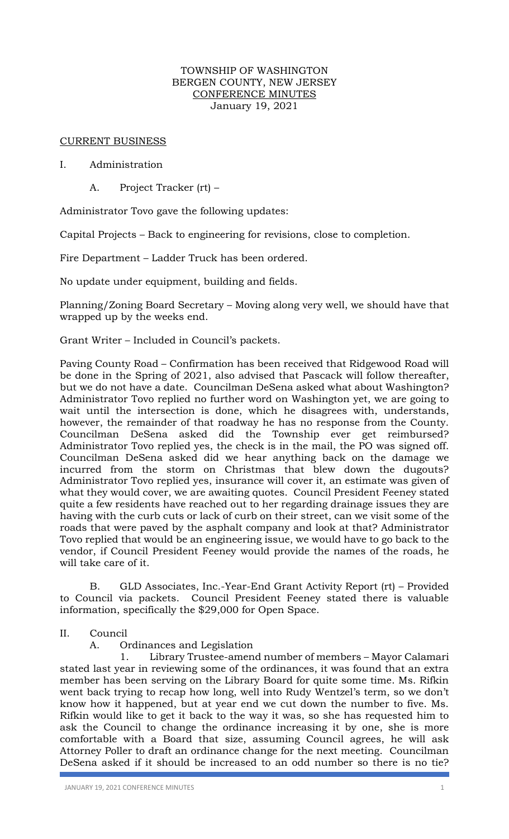### TOWNSHIP OF WASHINGTON BERGEN COUNTY, NEW JERSEY CONFERENCE MINUTES January 19, 2021

## CURRENT BUSINESS

## I. Administration

A. Project Tracker (rt) –

Administrator Tovo gave the following updates:

Capital Projects – Back to engineering for revisions, close to completion.

Fire Department – Ladder Truck has been ordered.

No update under equipment, building and fields.

Planning/Zoning Board Secretary – Moving along very well, we should have that wrapped up by the weeks end.

Grant Writer – Included in Council's packets.

Paving County Road – Confirmation has been received that Ridgewood Road will be done in the Spring of 2021, also advised that Pascack will follow thereafter, but we do not have a date. Councilman DeSena asked what about Washington? Administrator Tovo replied no further word on Washington yet, we are going to wait until the intersection is done, which he disagrees with, understands, however, the remainder of that roadway he has no response from the County. Councilman DeSena asked did the Township ever get reimbursed? Administrator Tovo replied yes, the check is in the mail, the PO was signed off. Councilman DeSena asked did we hear anything back on the damage we incurred from the storm on Christmas that blew down the dugouts? Administrator Tovo replied yes, insurance will cover it, an estimate was given of what they would cover, we are awaiting quotes. Council President Feeney stated quite a few residents have reached out to her regarding drainage issues they are having with the curb cuts or lack of curb on their street, can we visit some of the roads that were paved by the asphalt company and look at that? Administrator Tovo replied that would be an engineering issue, we would have to go back to the vendor, if Council President Feeney would provide the names of the roads, he will take care of it.

B. GLD Associates, Inc.-Year-End Grant Activity Report (rt) – Provided to Council via packets. Council President Feeney stated there is valuable information, specifically the \$29,000 for Open Space.

II. Council

A. Ordinances and Legislation

1. Library Trustee-amend number of members – Mayor Calamari stated last year in reviewing some of the ordinances, it was found that an extra member has been serving on the Library Board for quite some time. Ms. Rifkin went back trying to recap how long, well into Rudy Wentzel's term, so we don't know how it happened, but at year end we cut down the number to five. Ms. Rifkin would like to get it back to the way it was, so she has requested him to ask the Council to change the ordinance increasing it by one, she is more comfortable with a Board that size, assuming Council agrees, he will ask Attorney Poller to draft an ordinance change for the next meeting. Councilman DeSena asked if it should be increased to an odd number so there is no tie?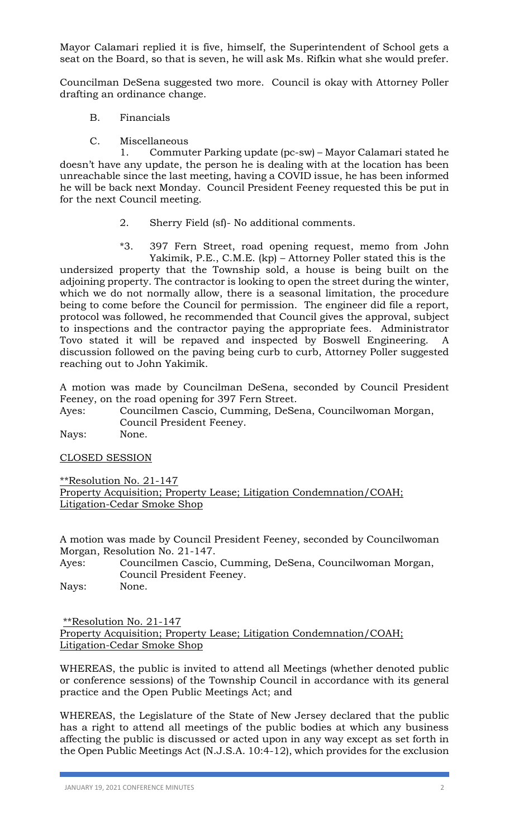Mayor Calamari replied it is five, himself, the Superintendent of School gets a seat on the Board, so that is seven, he will ask Ms. Rifkin what she would prefer.

Councilman DeSena suggested two more. Council is okay with Attorney Poller drafting an ordinance change.

- B. Financials
- C. Miscellaneous

1. Commuter Parking update (pc-sw) – Mayor Calamari stated he doesn't have any update, the person he is dealing with at the location has been unreachable since the last meeting, having a COVID issue, he has been informed he will be back next Monday. Council President Feeney requested this be put in for the next Council meeting.

- 2. Sherry Field (sf)- No additional comments.
- \*3. 397 Fern Street, road opening request, memo from John Yakimik, P.E., C.M.E. (kp) – Attorney Poller stated this is the

undersized property that the Township sold, a house is being built on the adjoining property. The contractor is looking to open the street during the winter, which we do not normally allow, there is a seasonal limitation, the procedure being to come before the Council for permission. The engineer did file a report, protocol was followed, he recommended that Council gives the approval, subject to inspections and the contractor paying the appropriate fees. Administrator Tovo stated it will be repaved and inspected by Boswell Engineering. A discussion followed on the paving being curb to curb, Attorney Poller suggested reaching out to John Yakimik.

A motion was made by Councilman DeSena, seconded by Council President Feeney, on the road opening for 397 Fern Street.

Ayes: Councilmen Cascio, Cumming, DeSena, Councilwoman Morgan, Council President Feeney.

Nays: None.

CLOSED SESSION

\*\*Resolution No. 21-147

Property Acquisition; Property Lease; Litigation Condemnation/COAH; Litigation-Cedar Smoke Shop

A motion was made by Council President Feeney, seconded by Councilwoman Morgan, Resolution No. 21-147.

Ayes: Councilmen Cascio, Cumming, DeSena, Councilwoman Morgan, Council President Feeney. Nays: None.

\*\*Resolution No. 21-147 Property Acquisition; Property Lease; Litigation Condemnation/COAH; Litigation-Cedar Smoke Shop

WHEREAS, the public is invited to attend all Meetings (whether denoted public or conference sessions) of the Township Council in accordance with its general practice and the Open Public Meetings Act; and

WHEREAS, the Legislature of the State of New Jersey declared that the public has a right to attend all meetings of the public bodies at which any business affecting the public is discussed or acted upon in any way except as set forth in the Open Public Meetings Act (N.J.S.A. 10:4-12), which provides for the exclusion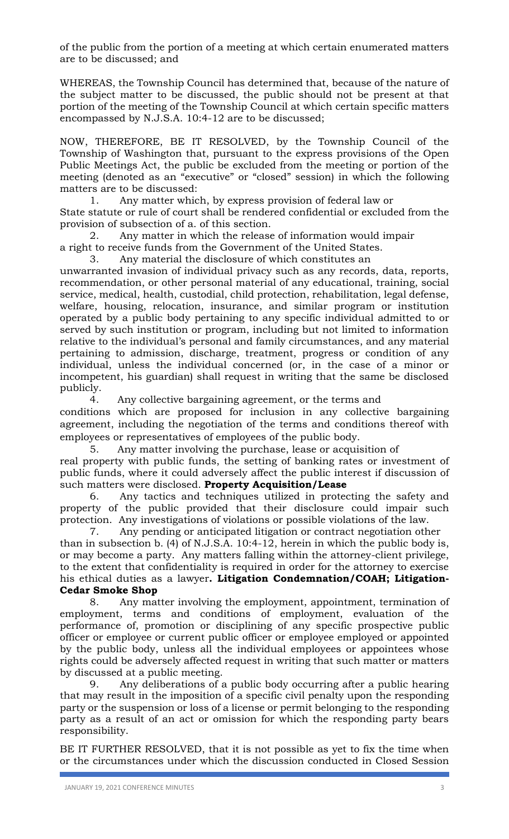of the public from the portion of a meeting at which certain enumerated matters are to be discussed; and

WHEREAS, the Township Council has determined that, because of the nature of the subject matter to be discussed, the public should not be present at that portion of the meeting of the Township Council at which certain specific matters encompassed by N.J.S.A. 10:4-12 are to be discussed;

NOW, THEREFORE, BE IT RESOLVED, by the Township Council of the Township of Washington that, pursuant to the express provisions of the Open Public Meetings Act, the public be excluded from the meeting or portion of the meeting (denoted as an "executive" or "closed" session) in which the following matters are to be discussed:

1. Any matter which, by express provision of federal law or State statute or rule of court shall be rendered confidential or excluded from the provision of subsection of a. of this section.

2. Any matter in which the release of information would impair a right to receive funds from the Government of the United States.

3. Any material the disclosure of which constitutes an

unwarranted invasion of individual privacy such as any records, data, reports, recommendation, or other personal material of any educational, training, social service, medical, health, custodial, child protection, rehabilitation, legal defense, welfare, housing, relocation, insurance, and similar program or institution operated by a public body pertaining to any specific individual admitted to or served by such institution or program, including but not limited to information relative to the individual's personal and family circumstances, and any material pertaining to admission, discharge, treatment, progress or condition of any individual, unless the individual concerned (or, in the case of a minor or incompetent, his guardian) shall request in writing that the same be disclosed publicly.

4. Any collective bargaining agreement, or the terms and conditions which are proposed for inclusion in any collective bargaining agreement, including the negotiation of the terms and conditions thereof with employees or representatives of employees of the public body.

5. Any matter involving the purchase, lease or acquisition of real property with public funds, the setting of banking rates or investment of public funds, where it could adversely affect the public interest if discussion of such matters were disclosed. **Property Acquisition/Lease**

6. Any tactics and techniques utilized in protecting the safety and property of the public provided that their disclosure could impair such protection. Any investigations of violations or possible violations of the law.

7. Any pending or anticipated litigation or contract negotiation other than in subsection b. (4) of N.J.S.A. 10:4-12, herein in which the public body is, or may become a party. Any matters falling within the attorney-client privilege, to the extent that confidentiality is required in order for the attorney to exercise his ethical duties as a lawyer**. Litigation Condemnation/COAH; Litigation-Cedar Smoke Shop**

8. Any matter involving the employment, appointment, termination of employment, terms and conditions of employment, evaluation of the performance of, promotion or disciplining of any specific prospective public officer or employee or current public officer or employee employed or appointed by the public body, unless all the individual employees or appointees whose rights could be adversely affected request in writing that such matter or matters by discussed at a public meeting.

9. Any deliberations of a public body occurring after a public hearing that may result in the imposition of a specific civil penalty upon the responding party or the suspension or loss of a license or permit belonging to the responding party as a result of an act or omission for which the responding party bears responsibility.

BE IT FURTHER RESOLVED, that it is not possible as yet to fix the time when or the circumstances under which the discussion conducted in Closed Session